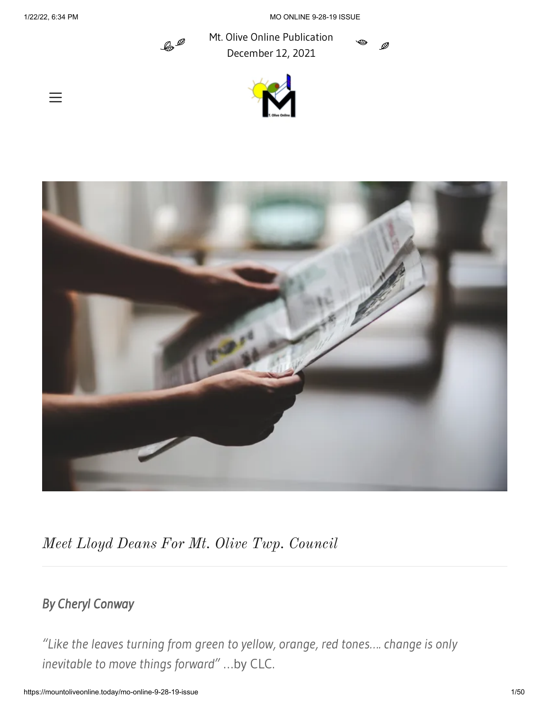$=$ 

1/22/22, 6:34 PM MO ONLINE 9-28-19 ISSUE

Ø



Mt. Olive Online Publication December 12, 2021





*Meet Lloyd Deans For Mt. Olive Twp. Council*

# *By Cheryl Conway*

*"Like the leaves turning from green to yellow, orange, red tones…. change is only inevitable to move things forward"* …by CLC.

https://mountoliveonline.today/mo-online-9-28-19-issue 1/50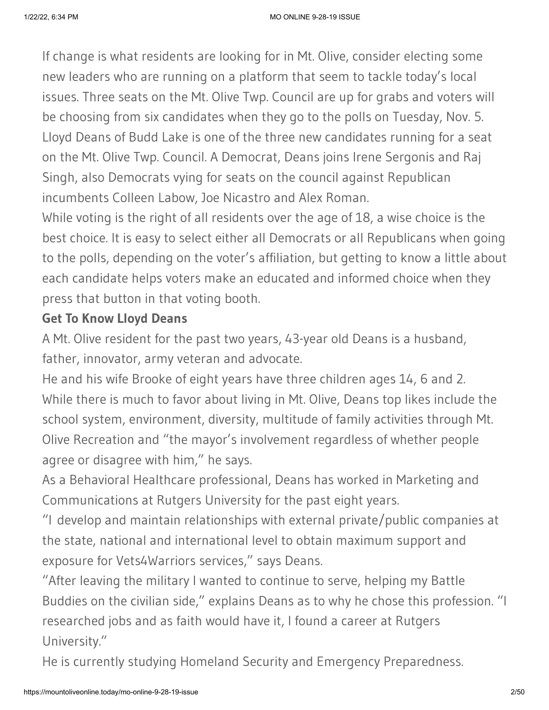If change is what residents are looking for in Mt. Olive, consider electing some new leaders who are running on a platform that seem to tackle today's local issues. Three seats on the Mt. Olive Twp. Council are up for grabs and voters will be choosing from six candidates when they go to the polls on Tuesday, Nov. 5. Lloyd Deans of Budd Lake is one of the three new candidates running for a seat on the Mt. Olive Twp. Council. A Democrat, Deans joins Irene Sergonis and Raj Singh, also Democrats vying for seats on the council against Republican incumbents Colleen Labow, Joe Nicastro and Alex Roman.

While voting is the right of all residents over the age of 18, a wise choice is the best choice. It is easy to select either all Democrats or all Republicans when going to the polls, depending on the voter's affiliation, but getting to know a little about each candidate helps voters make an educated and informed choice when they press that button in that voting booth.

### **Get To Know Lloyd Deans**

A Mt. Olive resident for the past two years, 43-year old Deans is a husband, father, innovator, army veteran and advocate.

He and his wife Brooke of eight years have three children ages 14, 6 and 2. While there is much to favor about living in Mt. Olive, Deans top likes include the school system, environment, diversity, multitude of family activities through Mt. Olive Recreation and "the mayor's involvement regardless of whether people agree or disagree with him," he says.

As a Behavioral Healthcare professional, Deans has worked in Marketing and Communications at Rutgers University for the past eight years.

"I develop and maintain relationships with external private/public companies at the state, national and international level to obtain maximum support and exposure for Vets4Warriors services," says Deans.

"After leaving the military I wanted to continue to serve, helping my Battle Buddies on the civilian side," explains Deans as to why he chose this profession. "I researched jobs and as faith would have it, I found a career at Rutgers University."

He is currently studying Homeland Security and Emergency Preparedness.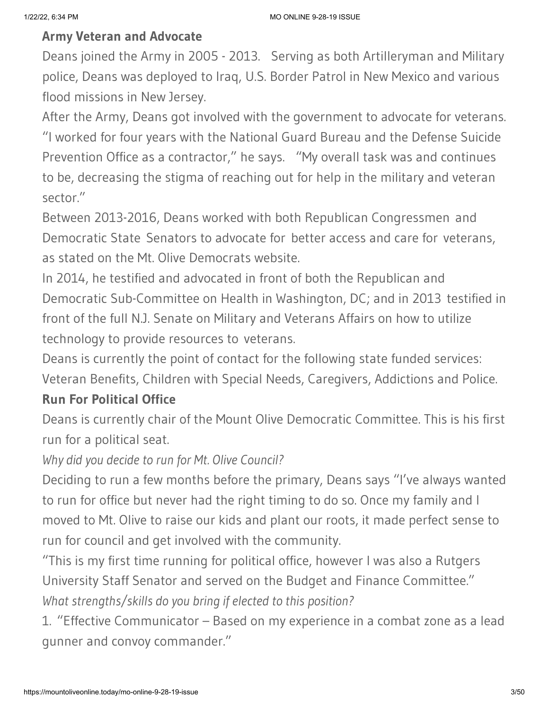### **Army Veteran and Advocate**

Deans joined the Army in 2005 - 2013. Serving as both Artilleryman and Military police, Deans was deployed to Iraq, U.S. Border Patrol in New Mexico and various flood missions in New Jersey.

After the Army, Deans got involved with the government to advocate for veterans. "I worked for four years with the National Guard Bureau and the Defense Suicide Prevention Office as a contractor," he says. "My overall task was and continues to be, decreasing the stigma of reaching out for help in the military and veteran sector."

Between 2013-2016, Deans worked with both Republican Congressmen and Democratic State Senators to advocate for better access and care for veterans, as stated on the Mt. Olive Democrats website.

In 2014, he testified and advocated in front of both the Republican and Democratic Sub-Committee on Health in Washington, DC; and in 2013 testified in front of the full N.J. Senate on Military and Veterans Affairs on how to utilize technology to provide resources to veterans.

Deans is currently the point of contact for the following state funded services: Veteran Benefits, Children with Special Needs, Caregivers, Addictions and Police.

### **Run For Political Office**

Deans is currently chair of the Mount Olive Democratic Committee. This is his first run for a political seat.

*Why did you decide to run for Mt. Olive Council?*

Deciding to run a few months before the primary, Deans says "I've always wanted to run for office but never had the right timing to do so. Once my family and I moved to Mt. Olive to raise our kids and plant our roots, it made perfect sense to run for council and get involved with the community.

"This is my first time running for political office, however I was also a Rutgers University Staff Senator and served on the Budget and Finance Committee." *What strengths/skills do you bring if elected to this position?*

1. "Effective Communicator – Based on my experience in a combat zone as a lead gunner and convoy commander."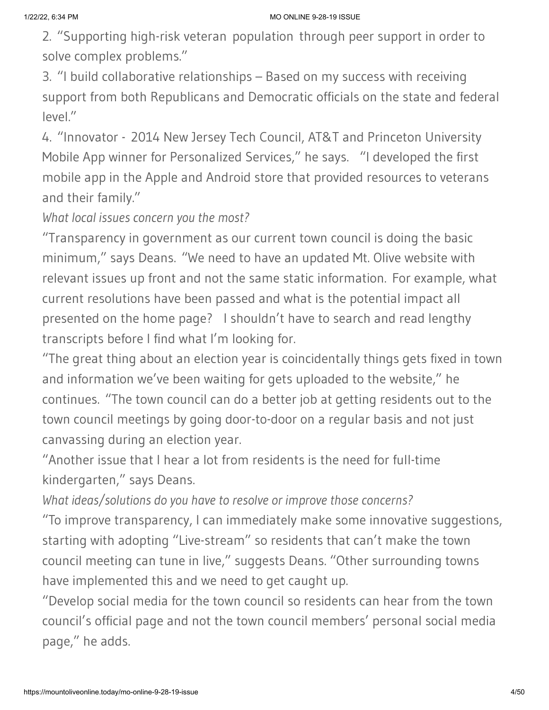2. "Supporting high-risk veteran population through peer support in order to solve complex problems."

3. "I build collaborative relationships – Based on my success with receiving support from both Republicans and Democratic officials on the state and federal level."

4. "Innovator - 2014 New Jersey Tech Council, AT&T and Princeton University Mobile App winner for Personalized Services," he says. "I developed the first mobile app in the Apple and Android store that provided resources to veterans and their family."

*What local issues concern you the most?*

"Transparency in government as our current town council is doing the basic minimum," says Deans. "We need to have an updated Mt. Olive website with relevant issues up front and not the same static information. For example, what current resolutions have been passed and what is the potential impact all presented on the home page? I shouldn't have to search and read lengthy transcripts before I find what I'm looking for.

"The great thing about an election year is coincidentally things gets fixed in town and information we've been waiting for gets uploaded to the website," he continues. "The town council can do a better job at getting residents out to the town council meetings by going door-to-door on a regular basis and not just canvassing during an election year.

"Another issue that I hear a lot from residents is the need for full-time kindergarten," says Deans.

*What ideas/solutions do you have to resolve or improve those concerns?*

"To improve transparency, I can immediately make some innovative suggestions, starting with adopting "Live-stream" so residents that can't make the town council meeting can tune in live," suggests Deans. "Other surrounding towns have implemented this and we need to get caught up.

"Develop social media for the town council so residents can hear from the town council's official page and not the town council members' personal social media page," he adds.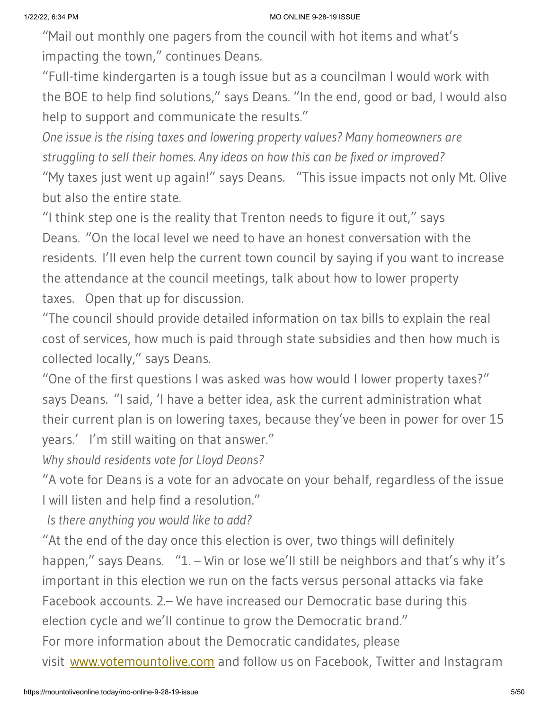"Mail out monthly one pagers from the council with hot items and what's impacting the town," continues Deans.

"Full-time kindergarten is a tough issue but as a councilman I would work with the BOE to help find solutions," says Deans. "In the end, good or bad, I would also help to support and communicate the results."

*One issue is the rising taxes and lowering property values? Many homeowners are struggling to sell their homes. Any ideas on how this can be fixed or improved?*

"My taxes just went up again!" says Deans. "This issue impacts not only Mt. Olive but also the entire state.

"I think step one is the reality that Trenton needs to figure it out," says Deans. "On the local level we need to have an honest conversation with the residents. I'll even help the current town council by saying if you want to increase the attendance at the council meetings, talk about how to lower property taxes. Open that up for discussion.

"The council should provide detailed information on tax bills to explain the real cost of services, how much is paid through state subsidies and then how much is collected locally," says Deans.

"One of the first questions I was asked was how would I lower property taxes?" says Deans. "I said, 'I have a better idea, ask the current administration what their current plan is on lowering taxes, because they've been in power for over 15 years.' I'm still waiting on that answer."

*Why should residents vote for Lloyd Deans?*

"A vote for Deans is a vote for an advocate on your behalf, regardless of the issue I will listen and help find a resolution."

*Is there anything you would like to add?*

"At the end of the day once this election is over, two things will definitely happen," says Deans. "1. – Win or lose we'll still be neighbors and that's why it's important in this election we run on the facts versus personal attacks via fake Facebook accounts. 2.– We have increased our Democratic base during this election cycle and we'll continue to grow the Democratic brand." For more information about the Democratic candidates, please

visit [www.votemountolive.com](http://www.votemountolive.com/) and follow us on Facebook, Twitter and Instagram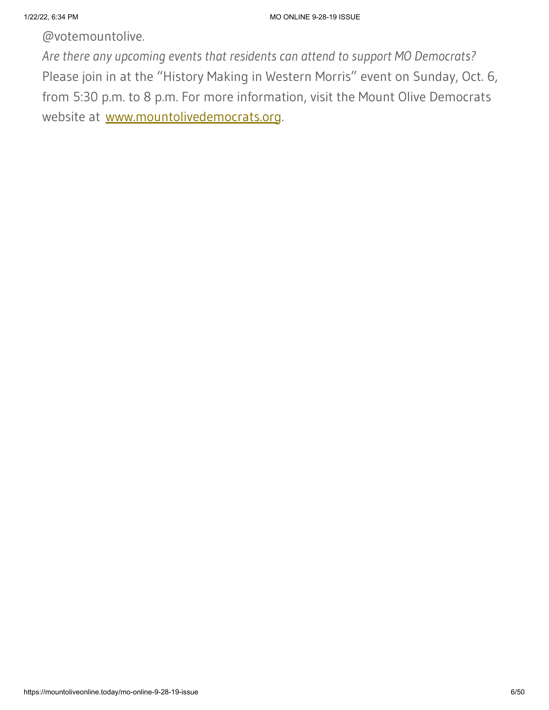@votemountolive.

*Are there any upcoming events that residents can attend to support MO Democrats?*  Please join in at the "History Making in Western Morris" event on Sunday, Oct. 6, from 5:30 p.m. to 8 p.m. For more information, visit the Mount Olive Democrats website at [www.mountolivedemocrats.org](http://www.mountolivedemocrats.org/).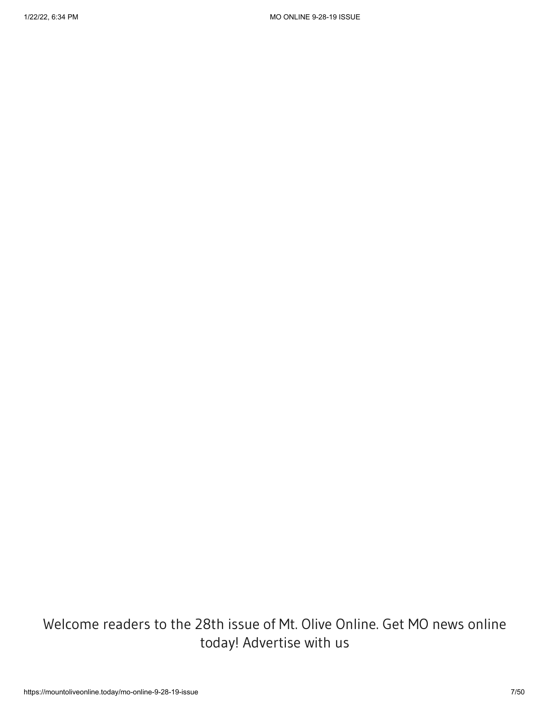# Welcome readers to the 28th issue of Mt. Olive Online. Get MO news online today! Advertise with us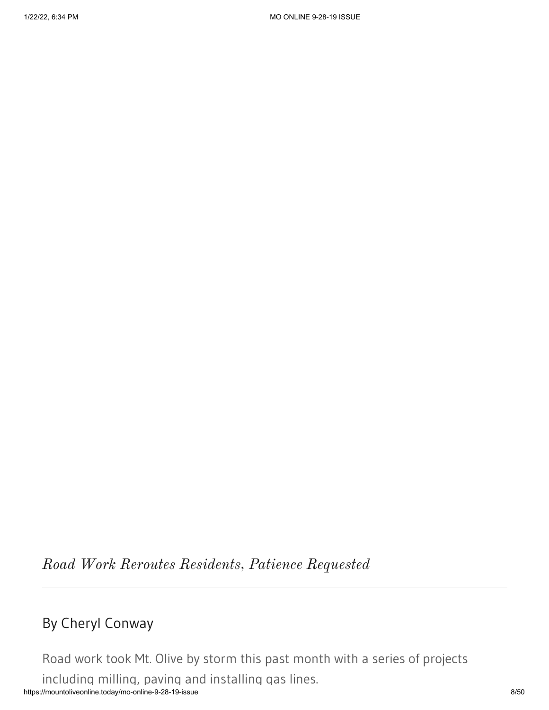*Road Work Reroutes Residents, Patience Requested*

# By Cheryl Conway

https://mountoliveonline.today/mo-online-9-28-19-issue 8/50 Road work took Mt. Olive by storm this past month with a series of projects including milling, paving and installing gas lines.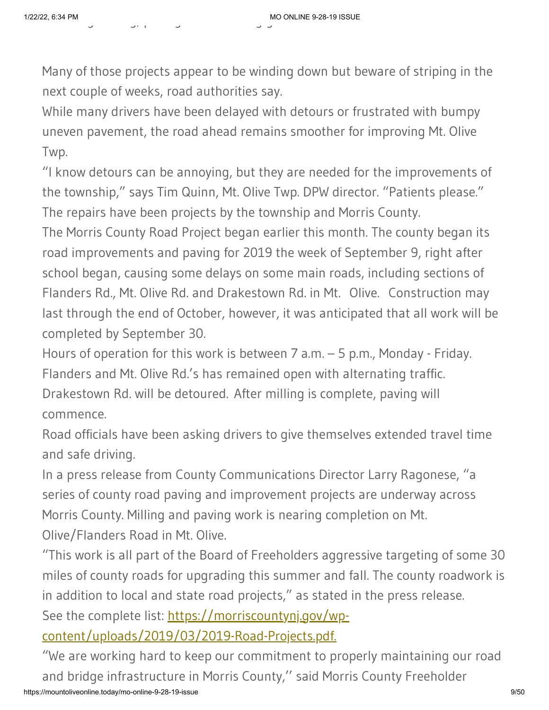Many of those projects appear to be winding down but beware of striping in the next couple of weeks, road authorities say.

While many drivers have been delayed with detours or frustrated with bumpy uneven pavement, the road ahead remains smoother for improving Mt. Olive Twp.

"I know detours can be annoying, but they are needed for the improvements of the township," says Tim Quinn, Mt. Olive Twp. DPW director. "Patients please." The repairs have been projects by the township and Morris County.

The Morris County Road Project began earlier this month. The county began its road improvements and paving for 2019 the week of September 9, right after school began, causing some delays on some main roads, including sections of Flanders Rd., Mt. Olive Rd. and Drakestown Rd. in Mt. Olive. Construction may last through the end of October, however, it was anticipated that all work will be completed by September 30.

Hours of operation for this work is between 7 a.m. – 5 p.m., Monday - Friday. Flanders and Mt. Olive Rd.'s has remained open with alternating traffic. Drakestown Rd. will be detoured. After milling is complete, paving will commence.

Road officials have been asking drivers to give themselves extended travel time and safe driving.

In a press release from County Communications Director Larry Ragonese, "a series of county road paving and improvement projects are underway across Morris County. Milling and paving work is nearing completion on Mt. Olive/Flanders Road in Mt. Olive.

"This work is all part of the Board of Freeholders aggressive targeting of some 30 miles of county roads for upgrading this summer and fall. The county roadwork is in addition to local and state road projects," as stated in the press release.

See the complete list: https://morriscountyni.gov/wp-

[content/uploads/2019/03/2019-Road-Projects.pdf.](https://morriscountynj.gov/wp-content/uploads/2019/03/2019-Road-Projects.pdf.)

https://mountoliveonline.today/mo-online-9-28-19-issue 9/50 "We are working hard to keep our commitment to properly maintaining our road and bridge infrastructure in Morris County,'' said Morris County Freeholder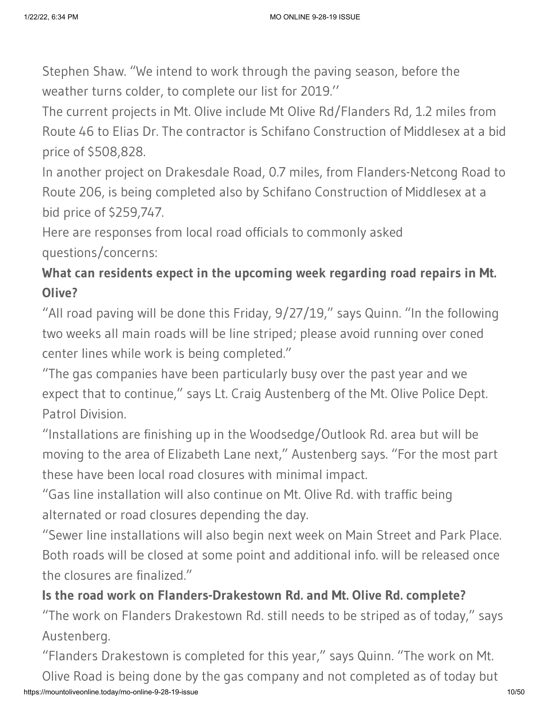Stephen Shaw. "We intend to work through the paving season, before the weather turns colder, to complete our list for 2019.''

The current projects in Mt. Olive include Mt Olive Rd/Flanders Rd, 1.2 miles from Route 46 to Elias Dr. The contractor is Schifano Construction of Middlesex at a bid price of \$508,828.

In another project on Drakesdale Road, 0.7 miles, from Flanders-Netcong Road to Route 206, is being completed also by Schifano Construction of Middlesex at a bid price of \$259,747.

Here are responses from local road officials to commonly asked questions/concerns:

# **What can residents expect in the upcoming week regarding road repairs in Mt. Olive?**

"All road paving will be done this Friday, 9/27/19," says Quinn. "In the following two weeks all main roads will be line striped; please avoid running over coned center lines while work is being completed."

"The gas companies have been particularly busy over the past year and we expect that to continue," says Lt. Craig Austenberg of the Mt. Olive Police Dept. Patrol Division.

"Installations are finishing up in the Woodsedge/Outlook Rd. area but will be moving to the area of Elizabeth Lane next," Austenberg says. "For the most part these have been local road closures with minimal impact.

"Gas line installation will also continue on Mt. Olive Rd. with traffic being alternated or road closures depending the day.

"Sewer line installations will also begin next week on Main Street and Park Place. Both roads will be closed at some point and additional info. will be released once the closures are finalized."

# **Is the road work on Flanders-Drakestown Rd. and Mt. Olive Rd. complete?**

"The work on Flanders Drakestown Rd. still needs to be striped as of today," says Austenberg.

https://mountoliveonline.today/mo-online-9-28-19-issue 10/50 "Flanders Drakestown is completed for this year," says Quinn. "The work on Mt. Olive Road is being done by the gas company and not completed as of today but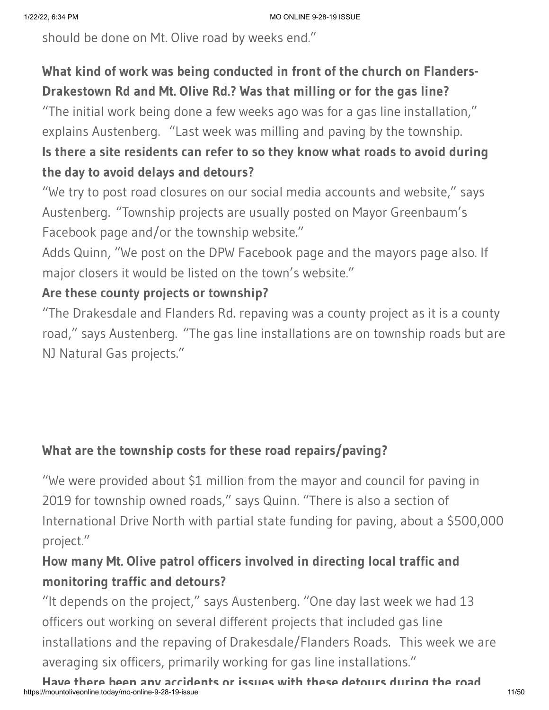should be done on Mt. Olive road by weeks end."

# **What kind of work was being conducted in front of the church on Flanders-Drakestown Rd and Mt. Olive Rd.? Was that milling or for the gas line?**

"The initial work being done a few weeks ago was for a gas line installation," explains Austenberg. "Last week was milling and paving by the township.

# **Is there a site residents can refer to so they know what roads to avoid during the day to avoid delays and detours?**

"We try to post road closures on our social media accounts and website," says Austenberg. "Township projects are usually posted on Mayor Greenbaum's Facebook page and/or the township website."

Adds Quinn, "We post on the DPW Facebook page and the mayors page also. If major closers it would be listed on the town's website."

### **Are these county projects or township?**

"The Drakesdale and Flanders Rd. repaving was a county project as it is a county road," says Austenberg. "The gas line installations are on township roads but are NJ Natural Gas projects."

# **What are the township costs for these road repairs/paving?**

"We were provided about \$1 million from the mayor and council for paving in 2019 for township owned roads," says Quinn. "There is also a section of International Drive North with partial state funding for paving, about a \$500,000 project."

# **How many Mt. Olive patrol officers involved in directing local traffic and monitoring traffic and detours?**

"It depends on the project," says Austenberg. "One day last week we had 13 officers out working on several different projects that included gas line installations and the repaving of Drakesdale/Flanders Roads. This week we are averaging six officers, primarily working for gas line installations."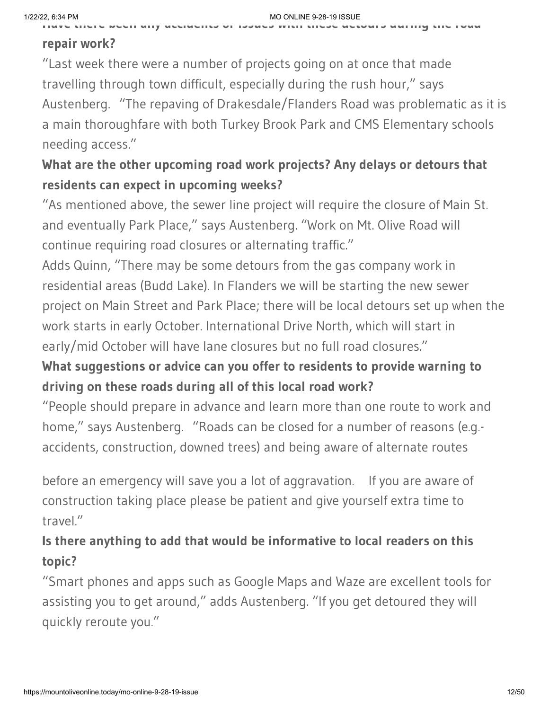**Have there been any accidents or issues with these detours during the road**

### **repair work?**

"Last week there were a number of projects going on at once that made travelling through town difficult, especially during the rush hour," says Austenberg. "The repaving of Drakesdale/Flanders Road was problematic as it is a main thoroughfare with both Turkey Brook Park and CMS Elementary schools needing access."

# **What are the other upcoming road work projects? Any delays or detours that residents can expect in upcoming weeks?**

"As mentioned above, the sewer line project will require the closure of Main St. and eventually Park Place," says Austenberg. "Work on Mt. Olive Road will continue requiring road closures or alternating traffic."

Adds Quinn, "There may be some detours from the gas company work in residential areas (Budd Lake). In Flanders we will be starting the new sewer project on Main Street and Park Place; there will be local detours set up when the work starts in early October. International Drive North, which will start in early/mid October will have lane closures but no full road closures."

# **What suggestions or advice can you offer to residents to provide warning to driving on these roads during all of this local road work?**

"People should prepare in advance and learn more than one route to work and home," says Austenberg. "Roads can be closed for a number of reasons (e.g.accidents, construction, downed trees) and being aware of alternate routes

before an emergency will save you a lot of aggravation. If you are aware of construction taking place please be patient and give yourself extra time to travel."

# **Is there anything to add that would be informative to local readers on this topic?**

"Smart phones and apps such as Google Maps and Waze are excellent tools for assisting you to get around," adds Austenberg. "If you get detoured they will quickly reroute you."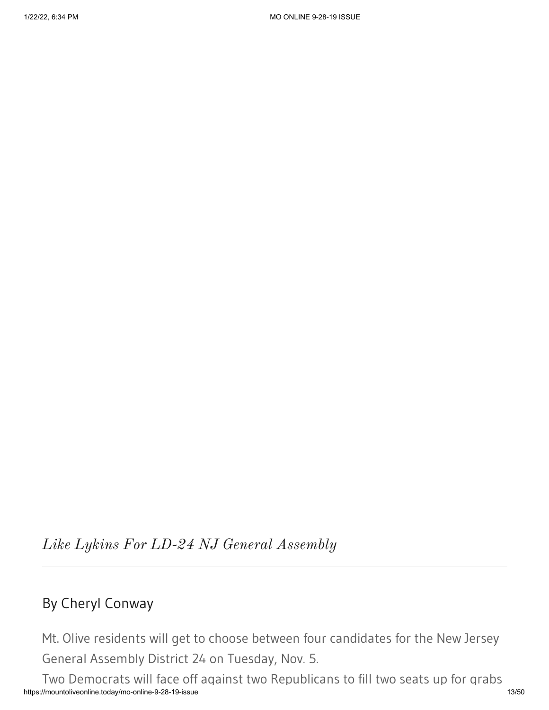*Like Lykins For LD-24 NJ General Assembly*

# By Cheryl Conway

Mt. Olive residents will get to choose between four candidates for the New Jersey General Assembly District 24 on Tuesday, Nov. 5.

https://mountoliveonline.today/mo-online-9-28-19-issue 13/50 Two Democrats will face off against two Republicans to fill two seats up for grabs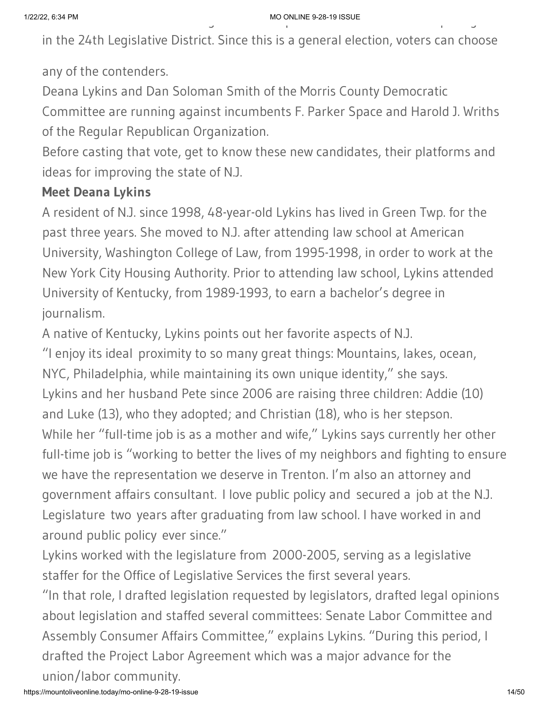in the 24th Legislative District. Since this is a general election, voters can choose

any of the contenders.

Deana Lykins and Dan Soloman Smith of the Morris County Democratic

Committee are running against incumbents F. Parker Space and Harold J. Wriths of the Regular Republican Organization.

Before casting that vote, get to know these new candidates, their platforms and ideas for improving the state of N.J.

### **Meet Deana Lykins**

A resident of N.J. since 1998, 48-year-old Lykins has lived in Green Twp. for the past three years. She moved to N.J. after attending law school at American University, Washington College of Law, from 1995-1998, in order to work at the New York City Housing Authority. Prior to attending law school, Lykins attended University of Kentucky, from 1989-1993, to earn a bachelor's degree in journalism.

A native of Kentucky, Lykins points out her favorite aspects of N.J. "I enjoy its ideal proximity to so many great things: Mountains, lakes, ocean, NYC, Philadelphia, while maintaining its own unique identity," she says. Lykins and her husband Pete since 2006 are raising three children: Addie (10) and Luke (13), who they adopted; and Christian (18), who is her stepson. While her "full-time job is as a mother and wife," Lykins says currently her other full-time job is "working to better the lives of my neighbors and fighting to ensure we have the representation we deserve in Trenton. I'm also an attorney and government affairs consultant. I love public policy and secured a job at the N.J. Legislature two years after graduating from law school. I have worked in and around public policy ever since."

Lykins worked with the legislature from 2000-2005, serving as a legislative staffer for the Office of Legislative Services the first several years.

"In that role, I drafted legislation requested by legislators, drafted legal opinions about legislation and staffed several committees: Senate Labor Committee and Assembly Consumer Affairs Committee," explains Lykins. "During this period, I drafted the Project Labor Agreement which was a major advance for the union/labor community.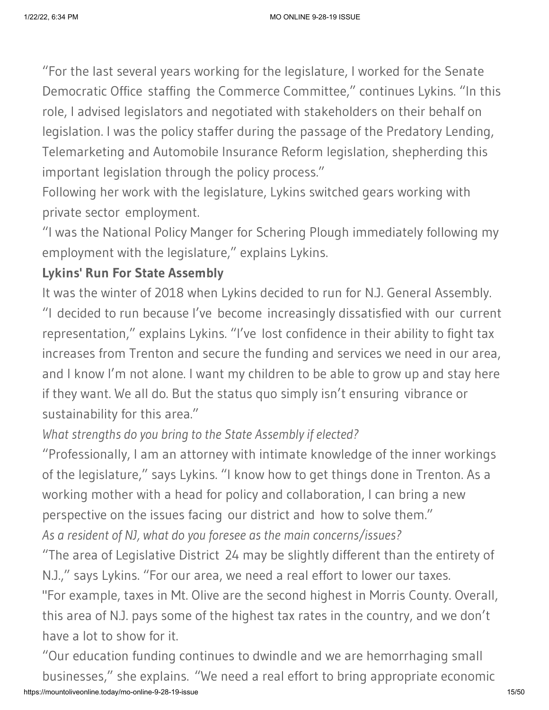"For the last several years working for the legislature, I worked for the Senate Democratic Office staffing the Commerce Committee," continues Lykins. "In this role, I advised legislators and negotiated with stakeholders on their behalf on legislation. I was the policy staffer during the passage of the Predatory Lending, Telemarketing and Automobile Insurance Reform legislation, shepherding this important legislation through the policy process."

Following her work with the legislature, Lykins switched gears working with private sector employment.

"I was the National Policy Manger for Schering Plough immediately following my employment with the legislature," explains Lykins.

### **Lykins' Run For State Assembly**

It was the winter of 2018 when Lykins decided to run for N.J. General Assembly. "I decided to run because I've become increasingly dissatisfied with our current representation," explains Lykins. "I've lost confidence in their ability to fight tax increases from Trenton and secure the funding and services we need in our area, and I know I'm not alone. I want my children to be able to grow up and stay here if they want. We all do. But the status quo simply isn't ensuring vibrance or sustainability for this area."

# *What strengths do you bring to the State Assembly if elected?*

"Professionally, I am an attorney with intimate knowledge of the inner workings of the legislature," says Lykins. "I know how to get things done in Trenton. As a working mother with a head for policy and collaboration, I can bring a new perspective on the issues facing our district and how to solve them." *As a resident of NJ, what do you foresee as the main concerns/issues?*

"The area of Legislative District 24 may be slightly different than the entirety of N.J.," says Lykins. "For our area, we need a real effort to lower our taxes.

"For example, taxes in Mt. Olive are the second highest in Morris County. Overall, this area of N.J. pays some of the highest tax rates in the country, and we don't have a lot to show for it.

https://mountoliveonline.today/mo-online-9-28-19-issue 15/50 "Our education funding continues to dwindle and we are hemorrhaging small businesses," she explains. "We need a real effort to bring appropriate economic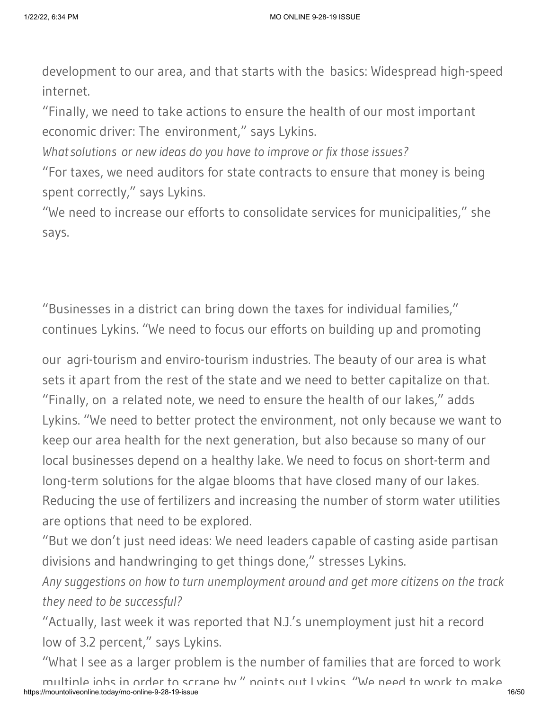development to our area, and that starts with the basics: Widespread high-speed internet.

"Finally, we need to take actions to ensure the health of our most important economic driver: The environment," says Lykins.

*Whatsolutions or new ideas do you have to improve or fix those issues?*

"For taxes, we need auditors for state contracts to ensure that money is being spent correctly," says Lykins.

"We need to increase our efforts to consolidate services for municipalities," she says.

"Businesses in a district can bring down the taxes for individual families," continues Lykins. "We need to focus our efforts on building up and promoting

our agri-tourism and enviro-tourism industries. The beauty of our area is what sets it apart from the rest of the state and we need to better capitalize on that. "Finally, on a related note, we need to ensure the health of our lakes," adds Lykins. "We need to better protect the environment, not only because we want to keep our area health for the next generation, but also because so many of our local businesses depend on a healthy lake. We need to focus on short-term and long-term solutions for the algae blooms that have closed many of our lakes. Reducing the use of fertilizers and increasing the number of storm water utilities are options that need to be explored.

"But we don't just need ideas: We need leaders capable of casting aside partisan divisions and handwringing to get things done," stresses Lykins.

*Any suggestions on how to turn unemployment around and get more citizens on the track they need to be successful?*

"Actually, last week it was reported that N.J.'s unemployment just hit a record low of 3.2 percent," says Lykins.

"What I see as a larger problem is the number of families that are forced to work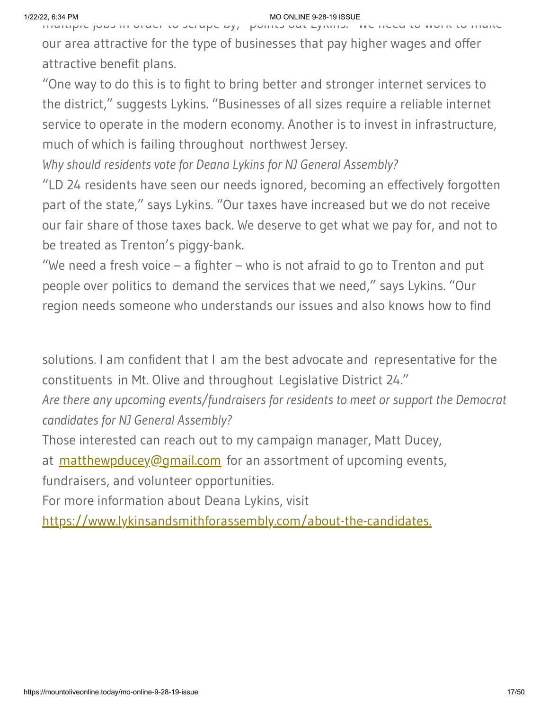multiple jobs in order to scrape by, points out Lykins. We need to work to make our area attractive for the type of businesses that pay higher wages and offer attractive benefit plans.

"One way to do this is to fight to bring better and stronger internet services to the district," suggests Lykins. "Businesses of all sizes require a reliable internet service to operate in the modern economy. Another is to invest in infrastructure, much of which is failing throughout northwest Jersey.

*Why should residents vote for Deana Lykins for NJ General Assembly?*

"LD 24 residents have seen our needs ignored, becoming an effectively forgotten part of the state," says Lykins. "Our taxes have increased but we do not receive our fair share of those taxes back. We deserve to get what we pay for, and not to be treated as Trenton's piggy-bank.

"We need a fresh voice  $-$  a fighter  $-$  who is not afraid to go to Trenton and put people over politics to demand the services that we need," says Lykins. "Our region needs someone who understands our issues and also knows how to find

solutions. I am confident that I am the best advocate and representative for the constituents in Mt. Olive and throughout Legislative District 24."

*Are there any upcoming events/fundraisers for residents to meet or support the Democrat candidates for NJ General Assembly?*

Those interested can reach out to my campaign manager, Matt Ducey,

at [matthewpducey@gmail.com](mailto:matthewpducey@gmail.com) for an assortment of upcoming events,

fundraisers, and volunteer opportunities.

For more information about Deana Lykins, visit

<https://www.lykinsandsmithforassembly.com/about-the-candidates.>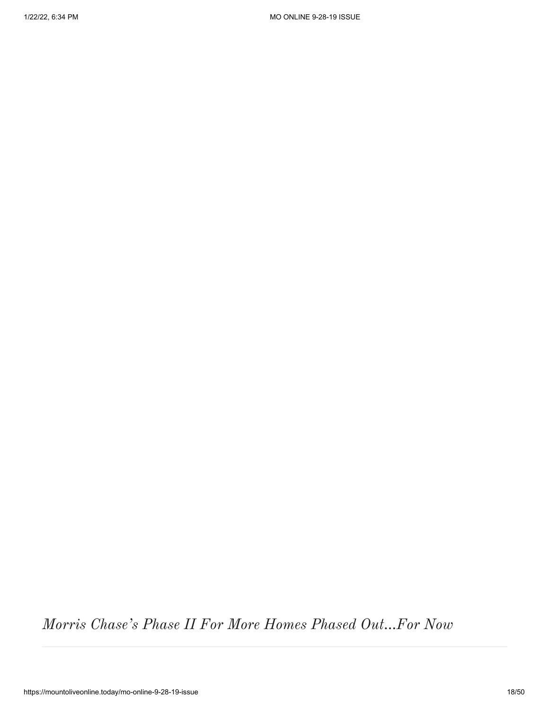*Morris Chase's Phase II For More Homes Phased Out…For Now*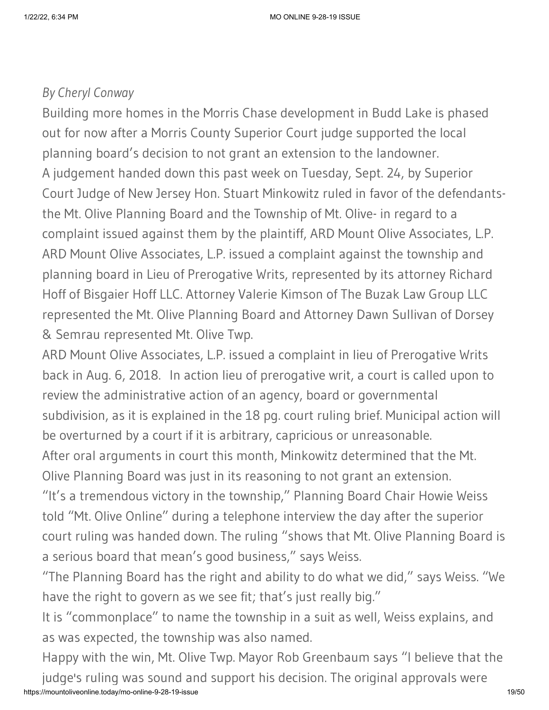### *By Cheryl Conway*

Building more homes in the Morris Chase development in Budd Lake is phased out for now after a Morris County Superior Court judge supported the local planning board's decision to not grant an extension to the landowner. A judgement handed down this past week on Tuesday, Sept. 24, by Superior Court Judge of New Jersey Hon. Stuart Minkowitz ruled in favor of the defendantsthe Mt. Olive Planning Board and the Township of Mt. Olive- in regard to a complaint issued against them by the plaintiff, ARD Mount Olive Associates, L.P. ARD Mount Olive Associates, L.P. issued a complaint against the township and planning board in Lieu of Prerogative Writs, represented by its attorney Richard Hoff of Bisgaier Hoff LLC. Attorney Valerie Kimson of The Buzak Law Group LLC represented the Mt. Olive Planning Board and Attorney Dawn Sullivan of Dorsey & Semrau represented Mt. Olive Twp.

ARD Mount Olive Associates, L.P. issued a complaint in lieu of Prerogative Writs back in Aug. 6, 2018. In action lieu of prerogative writ, a court is called upon to review the administrative action of an agency, board or governmental subdivision, as it is explained in the 18 pg. court ruling brief. Municipal action will be overturned by a court if it is arbitrary, capricious or unreasonable.

After oral arguments in court this month, Minkowitz determined that the Mt. Olive Planning Board was just in its reasoning to not grant an extension.

"It's a tremendous victory in the township," Planning Board Chair Howie Weiss told "Mt. Olive Online" during a telephone interview the day after the superior court ruling was handed down. The ruling "shows that Mt. Olive Planning Board is a serious board that mean's good business," says Weiss.

"The Planning Board has the right and ability to do what we did," says Weiss. "We have the right to govern as we see fit; that's just really big."

It is "commonplace" to name the township in a suit as well, Weiss explains, and as was expected, the township was also named.

https://mountoliveonline.today/mo-online-9-28-19-issue 19/50 Happy with the win, Mt. Olive Twp. Mayor Rob Greenbaum says "I believe that the judge's ruling was sound and support his decision. The original approvals were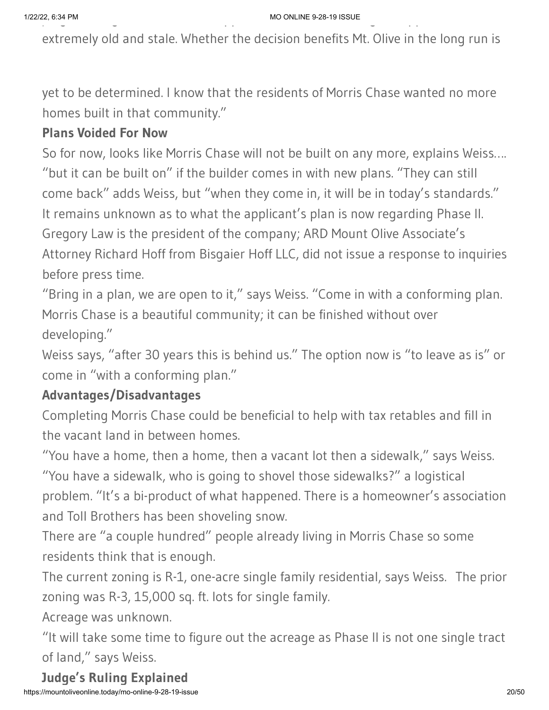extremely old and stale. Whether the decision benefits Mt. Olive in the long run is

yet to be determined. I know that the residents of Morris Chase wanted no more homes built in that community."

### **Plans Voided For Now**

So for now, looks like Morris Chase will not be built on any more, explains Weiss…. "but it can be built on" if the builder comes in with new plans. "They can still come back" adds Weiss, but "when they come in, it will be in today's standards." It remains unknown as to what the applicant's plan is now regarding Phase II. Gregory Law is the president of the company; ARD Mount Olive Associate's Attorney Richard Hoff from Bisgaier Hoff LLC, did not issue a response to inquiries before press time.

"Bring in a plan, we are open to it," says Weiss. "Come in with a conforming plan. Morris Chase is a beautiful community; it can be finished without over developing."

Weiss says, "after 30 years this is behind us." The option now is "to leave as is" or come in "with a conforming plan."

### **Advantages/Disadvantages**

Completing Morris Chase could be beneficial to help with tax retables and fill in the vacant land in between homes.

"You have a home, then a home, then a vacant lot then a sidewalk," says Weiss. "You have a sidewalk, who is going to shovel those sidewalks?" a logistical problem. "It's a bi-product of what happened. There is a homeowner's association and Toll Brothers has been shoveling snow.

There are "a couple hundred" people already living in Morris Chase so some residents think that is enough.

The current zoning is R-1, one-acre single family residential, says Weiss. The prior zoning was R-3, 15,000 sq. ft. lots for single family.

Acreage was unknown.

"It will take some time to figure out the acreage as Phase II is not one single tract of land," says Weiss.

**Judge's Ruling Explained**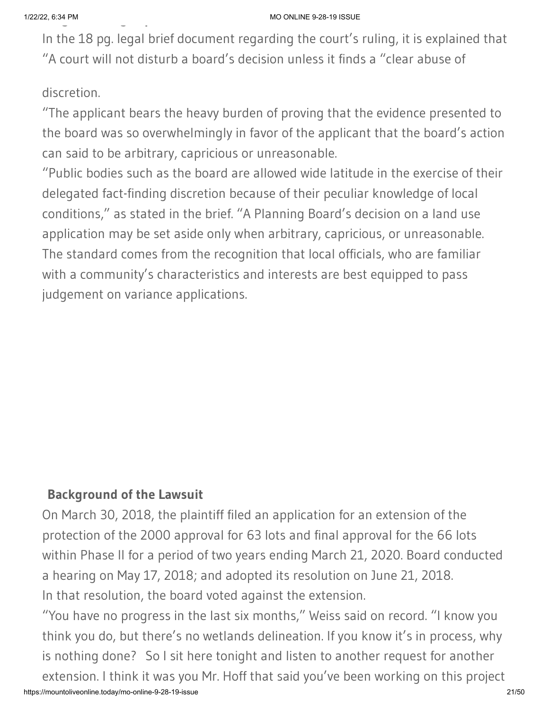In the 18 pg. legal brief document regarding the court's ruling, it is explained that "A court will not disturb a board's decision unless it finds a "clear abuse of

### discretion.

"The applicant bears the heavy burden of proving that the evidence presented to the board was so overwhelmingly in favor of the applicant that the board's action can said to be arbitrary, capricious or unreasonable.

"Public bodies such as the board are allowed wide latitude in the exercise of their delegated fact-finding discretion because of their peculiar knowledge of local conditions," as stated in the brief. "A Planning Board's decision on a land use application may be set aside only when arbitrary, capricious, or unreasonable. The standard comes from the recognition that local officials, who are familiar with a community's characteristics and interests are best equipped to pass judgement on variance applications.

### **Background of the Lawsuit**

On March 30, 2018, the plaintiff filed an application for an extension of the protection of the 2000 approval for 63 lots and final approval for the 66 lots within Phase II for a period of two years ending March 21, 2020. Board conducted a hearing on May 17, 2018; and adopted its resolution on June 21, 2018. In that resolution, the board voted against the extension.

https://mountoliveonline.today/mo-online-9-28-19-issue 21/50 "You have no progress in the last six months," Weiss said on record. "I know you think you do, but there's no wetlands delineation. If you know it's in process, why is nothing done? So I sit here tonight and listen to another request for another extension. I think it was you Mr. Hoff that said you've been working on this project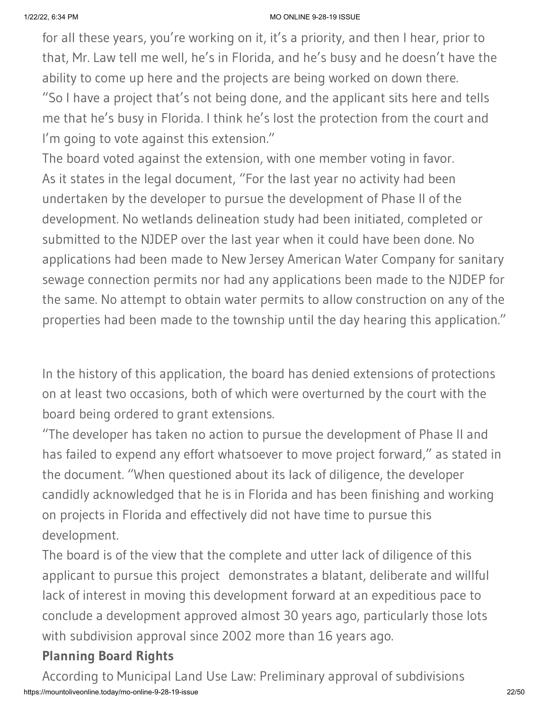for all these years, you're working on it, it's a priority, and then I hear, prior to that, Mr. Law tell me well, he's in Florida, and he's busy and he doesn't have the ability to come up here and the projects are being worked on down there. "So I have a project that's not being done, and the applicant sits here and tells me that he's busy in Florida. I think he's lost the protection from the court and I'm going to vote against this extension."

The board voted against the extension, with one member voting in favor. As it states in the legal document, "For the last year no activity had been undertaken by the developer to pursue the development of Phase II of the development. No wetlands delineation study had been initiated, completed or submitted to the NJDEP over the last year when it could have been done. No applications had been made to New Jersey American Water Company for sanitary sewage connection permits nor had any applications been made to the NJDEP for the same. No attempt to obtain water permits to allow construction on any of the properties had been made to the township until the day hearing this application."

In the history of this application, the board has denied extensions of protections on at least two occasions, both of which were overturned by the court with the board being ordered to grant extensions.

"The developer has taken no action to pursue the development of Phase II and has failed to expend any effort whatsoever to move project forward," as stated in the document. "When questioned about its lack of diligence, the developer candidly acknowledged that he is in Florida and has been finishing and working on projects in Florida and effectively did not have time to pursue this development.

The board is of the view that the complete and utter lack of diligence of this applicant to pursue this project demonstrates a blatant, deliberate and willful lack of interest in moving this development forward at an expeditious pace to conclude a development approved almost 30 years ago, particularly those lots with subdivision approval since 2002 more than 16 years ago.

### **Planning Board Rights**

https://mountoliveonline.today/mo-online-9-28-19-issue 22/50 According to Municipal Land Use Law: Preliminary approval of subdivisions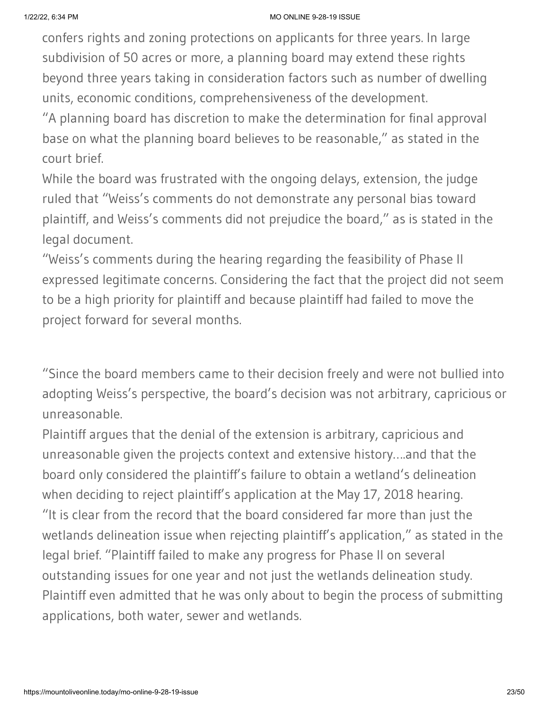confers rights and zoning protections on applicants for three years. In large subdivision of 50 acres or more, a planning board may extend these rights beyond three years taking in consideration factors such as number of dwelling units, economic conditions, comprehensiveness of the development.

"A planning board has discretion to make the determination for final approval base on what the planning board believes to be reasonable," as stated in the court brief.

While the board was frustrated with the ongoing delays, extension, the judge ruled that "Weiss's comments do not demonstrate any personal bias toward plaintiff, and Weiss's comments did not prejudice the board," as is stated in the legal document.

"Weiss's comments during the hearing regarding the feasibility of Phase II expressed legitimate concerns. Considering the fact that the project did not seem to be a high priority for plaintiff and because plaintiff had failed to move the project forward for several months.

"Since the board members came to their decision freely and were not bullied into adopting Weiss's perspective, the board's decision was not arbitrary, capricious or unreasonable.

Plaintiff argues that the denial of the extension is arbitrary, capricious and unreasonable given the projects context and extensive history….and that the board only considered the plaintiff's failure to obtain a wetland's delineation when deciding to reject plaintiff's application at the May 17, 2018 hearing. "It is clear from the record that the board considered far more than just the wetlands delineation issue when rejecting plaintiff's application," as stated in the legal brief. "Plaintiff failed to make any progress for Phase II on several outstanding issues for one year and not just the wetlands delineation study. Plaintiff even admitted that he was only about to begin the process of submitting applications, both water, sewer and wetlands.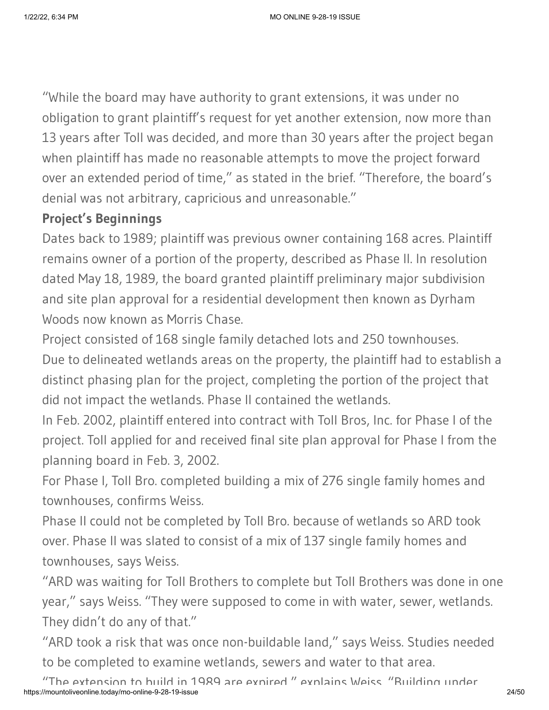"While the board may have authority to grant extensions, it was under no obligation to grant plaintiff's request for yet another extension, now more than 13 years after Toll was decided, and more than 30 years after the project began when plaintiff has made no reasonable attempts to move the project forward over an extended period of time," as stated in the brief. "Therefore, the board's denial was not arbitrary, capricious and unreasonable."

### **Project's Beginnings**

Dates back to 1989; plaintiff was previous owner containing 168 acres. Plaintiff remains owner of a portion of the property, described as Phase II. In resolution dated May 18, 1989, the board granted plaintiff preliminary major subdivision and site plan approval for a residential development then known as Dyrham Woods now known as Morris Chase.

Project consisted of 168 single family detached lots and 250 townhouses. Due to delineated wetlands areas on the property, the plaintiff had to establish a distinct phasing plan for the project, completing the portion of the project that did not impact the wetlands. Phase II contained the wetlands.

In Feb. 2002, plaintiff entered into contract with Toll Bros, Inc. for Phase I of the project. Toll applied for and received final site plan approval for Phase I from the planning board in Feb. 3, 2002.

For Phase I, Toll Bro. completed building a mix of 276 single family homes and townhouses, confirms Weiss.

Phase II could not be completed by Toll Bro. because of wetlands so ARD took over. Phase II was slated to consist of a mix of 137 single family homes and townhouses, says Weiss.

"ARD was waiting for Toll Brothers to complete but Toll Brothers was done in one year," says Weiss. "They were supposed to come in with water, sewer, wetlands. They didn't do any of that."

"ARD took a risk that was once non-buildable land," says Weiss. Studies needed to be completed to examine wetlands, sewers and water to that area.

https://mountoliveonline.today/mo-online-9-28-19-issue 24/50 "The extension to build in 1989 are expired " explains Weiss "Building under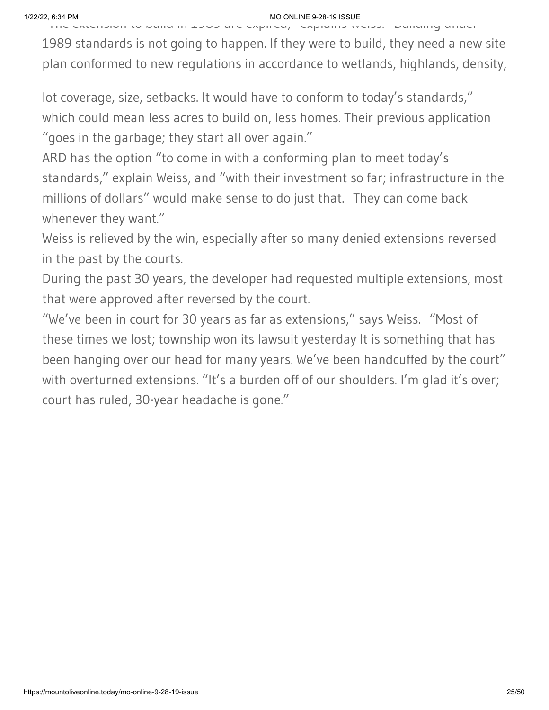The extension to build in 1989 are expired, explains Weiss. Building under

1989 standards is not going to happen. If they were to build, they need a new site plan conformed to new regulations in accordance to wetlands, highlands, density,

lot coverage, size, setbacks. It would have to conform to today's standards," which could mean less acres to build on, less homes. Their previous application "goes in the garbage; they start all over again."

ARD has the option "to come in with a conforming plan to meet today's standards," explain Weiss, and "with their investment so far; infrastructure in the millions of dollars" would make sense to do just that. They can come back whenever they want."

Weiss is relieved by the win, especially after so many denied extensions reversed in the past by the courts.

During the past 30 years, the developer had requested multiple extensions, most that were approved after reversed by the court.

"We've been in court for 30 years as far as extensions," says Weiss. "Most of these times we lost; township won its lawsuit yesterday It is something that has been hanging over our head for many years. We've been handcuffed by the court" with overturned extensions. "It's a burden off of our shoulders. I'm glad it's over; court has ruled, 30-year headache is gone."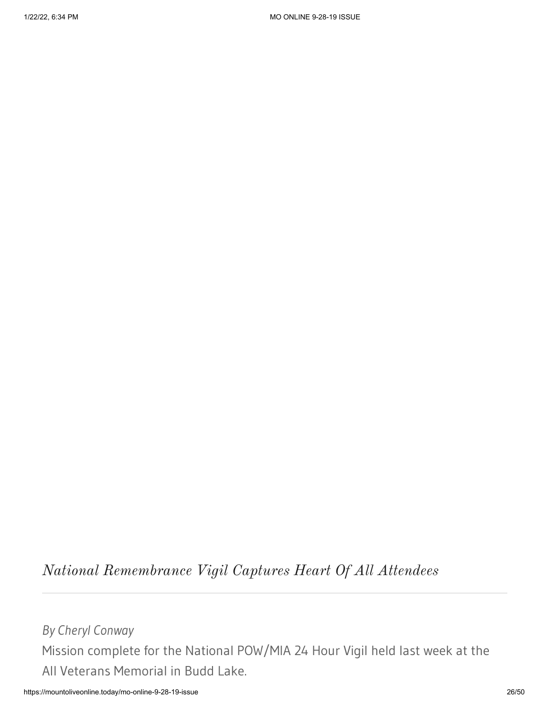# *National Remembrance Vigil Captures Heart Of All Attendees*

*By Cheryl Conway* Mission complete for the National POW/MIA 24 Hour Vigil held last week at the All Veterans Memorial in Budd Lake.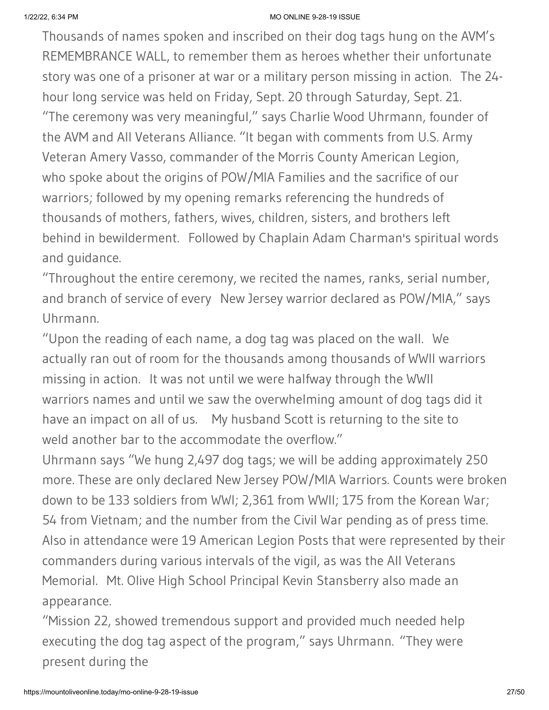Thousands of names spoken and inscribed on their dog tags hung on the AVM's REMEMBRANCE WALL, to remember them as heroes whether their unfortunate story was one of a prisoner at war or a military person missing in action. The 24 hour long service was held on Friday, Sept. 20 through Saturday, Sept. 21. "The ceremony was very meaningful," says Charlie Wood Uhrmann, founder of the AVM and All Veterans Alliance. "It began with comments from U.S. Army Veteran Amery Vasso, commander of the Morris County American Legion, who spoke about the origins of POW/MIA Families and the sacrifice of our warriors; followed by my opening remarks referencing the hundreds of thousands of mothers, fathers, wives, children, sisters, and brothers left behind in bewilderment. Followed by Chaplain Adam Charman's spiritual words and guidance.

"Throughout the entire ceremony, we recited the names, ranks, serial number, and branch of service of every New Jersey warrior declared as POW/MIA," says Uhrmann.

"Upon the reading of each name, a dog tag was placed on the wall. We actually ran out of room for the thousands among thousands of WWII warriors missing in action. It was not until we were halfway through the WWII warriors names and until we saw the overwhelming amount of dog tags did it have an impact on all of us. My husband Scott is returning to the site to weld another bar to the accommodate the overflow."

Uhrmann says "We hung 2,497 dog tags; we will be adding approximately 250 more. These are only declared New Jersey POW/MIA Warriors. Counts were broken down to be 133 soldiers from WWI; 2,361 from WWII; 175 from the Korean War; 54 from Vietnam; and the number from the Civil War pending as of press time. Also in attendance were 19 American Legion Posts that were represented by their commanders during various intervals of the vigil, as was the All Veterans Memorial. Mt. Olive High School Principal Kevin Stansberry also made an appearance.

"Mission 22, showed tremendous support and provided much needed help executing the dog tag aspect of the program," says Uhrmann. "They were present during the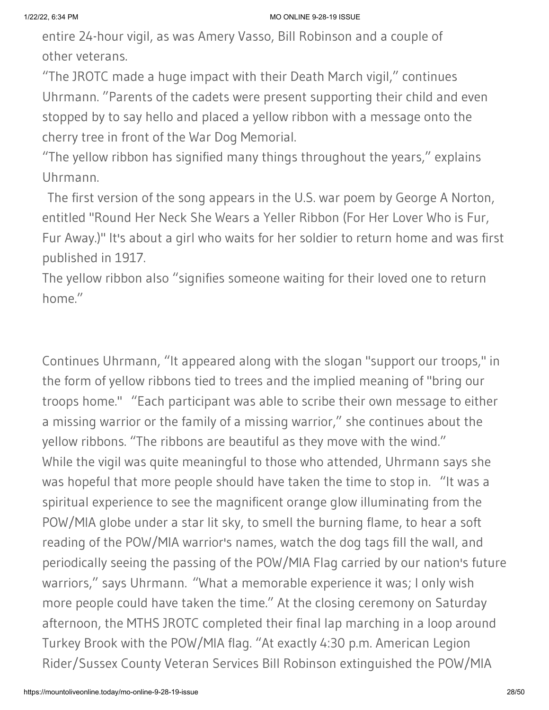entire 24-hour vigil, as was Amery Vasso, Bill Robinson and a couple of other veterans.

"The JROTC made a huge impact with their Death March vigil," continues Uhrmann. "Parents of the cadets were present supporting their child and even stopped by to say hello and placed a yellow ribbon with a message onto the cherry tree in front of the War Dog Memorial.

"The yellow ribbon has signified many things throughout the years," explains Uhrmann.

 The first version of the song appears in the U.S. war poem by George A Norton, entitled "Round Her Neck She Wears a Yeller Ribbon (For Her Lover Who is Fur, Fur Away.)" It's about a girl who waits for her soldier to return home and was first published in 1917.

The yellow ribbon also "signifies someone waiting for their loved one to return home."

Continues Uhrmann, "It appeared along with the slogan "support our troops," in the form of yellow ribbons tied to trees and the implied meaning of "bring our troops home." "Each participant was able to scribe their own message to either a missing warrior or the family of a missing warrior," she continues about the yellow ribbons. "The ribbons are beautiful as they move with the wind." While the vigil was quite meaningful to those who attended, Uhrmann says she was hopeful that more people should have taken the time to stop in. "It was a spiritual experience to see the magnificent orange glow illuminating from the POW/MIA globe under a star lit sky, to smell the burning flame, to hear a soft reading of the POW/MIA warrior's names, watch the dog tags fill the wall, and periodically seeing the passing of the POW/MIA Flag carried by our nation's future warriors," says Uhrmann. "What a memorable experience it was; I only wish more people could have taken the time." At the closing ceremony on Saturday afternoon, the MTHS JROTC completed their final lap marching in a loop around Turkey Brook with the POW/MIA flag. "At exactly 4:30 p.m. American Legion Rider/Sussex County Veteran Services Bill Robinson extinguished the POW/MIA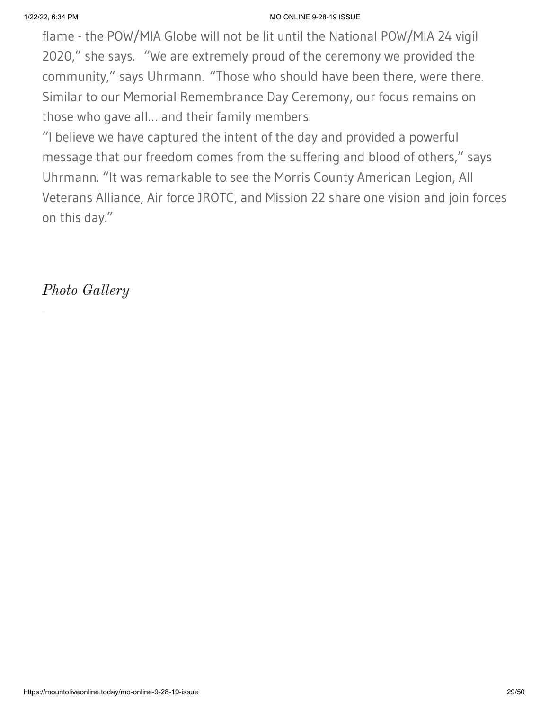flame - the POW/MIA Globe will not be lit until the National POW/MIA 24 vigil 2020," she says. "We are extremely proud of the ceremony we provided the community," says Uhrmann. "Those who should have been there, were there. Similar to our Memorial Remembrance Day Ceremony, our focus remains on those who gave all… and their family members.

"I believe we have captured the intent of the day and provided a powerful message that our freedom comes from the suffering and blood of others," says Uhrmann. "It was remarkable to see the Morris County American Legion, All Veterans Alliance, Air force JROTC, and Mission 22 share one vision and join forces on this day."

*Photo Gallery*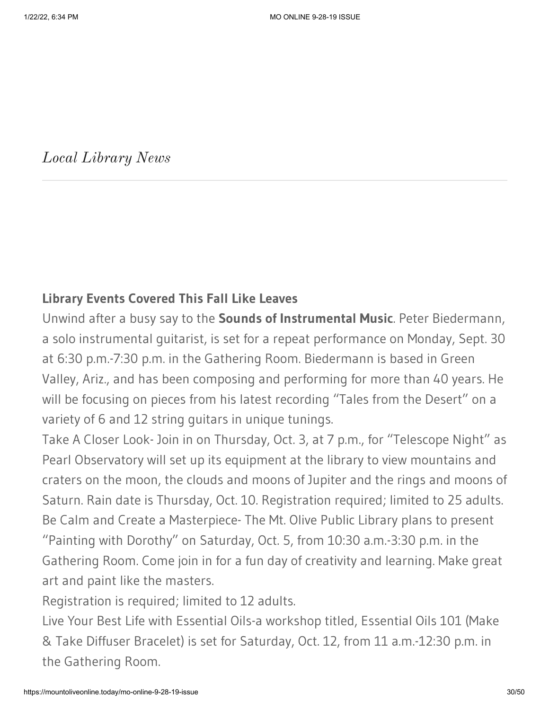*Local Library News*

### **Library Events Covered This Fall Like Leaves**

Unwind after a busy say to the **Sounds of Instrumental Music**. Peter Biedermann, a solo instrumental guitarist, is set for a repeat performance on Monday, Sept. 30 at 6:30 p.m.-7:30 p.m. in the Gathering Room. Biedermann is based in Green Valley, Ariz., and has been composing and performing for more than 40 years. He will be focusing on pieces from his latest recording "Tales from the Desert" on a variety of 6 and 12 string guitars in unique tunings.

Take A Closer Look- Join in on Thursday, Oct. 3, at 7 p.m., for "Telescope Night" as Pearl Observatory will set up its equipment at the library to view mountains and craters on the moon, the clouds and moons of Jupiter and the rings and moons of Saturn. Rain date is Thursday, Oct. 10. Registration required; limited to 25 adults. Be Calm and Create a Masterpiece- The Mt. Olive Public Library plans to present "Painting with Dorothy" on Saturday, Oct. 5, from 10:30 a.m.-3:30 p.m. in the Gathering Room. Come join in for a fun day of creativity and learning. Make great art and paint like the masters.

Registration is required; limited to 12 adults.

Live Your Best Life with Essential Oils-a workshop titled, Essential Oils 101 (Make & Take Diffuser Bracelet) is set for Saturday, Oct. 12, from 11 a.m.-12:30 p.m. in the Gathering Room.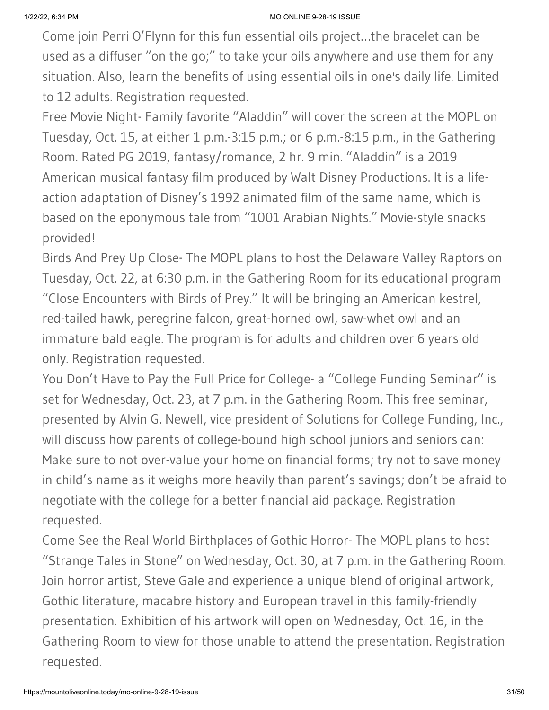Come join Perri O'Flynn for this fun essential oils project…the bracelet can be used as a diffuser "on the go;" to take your oils anywhere and use them for any situation. Also, learn the benefits of using essential oils in one's daily life. Limited to 12 adults. Registration requested.

Free Movie Night- Family favorite "Aladdin" will cover the screen at the MOPL on Tuesday, Oct. 15, at either 1 p.m.-3:15 p.m.; or 6 p.m.-8:15 p.m., in the Gathering Room. Rated PG 2019, fantasy/romance, 2 hr. 9 min. "Aladdin" is a 2019 American musical fantasy film produced by Walt Disney Productions. It is a lifeaction adaptation of Disney's 1992 animated film of the same name, which is based on the eponymous tale from "1001 Arabian Nights." Movie-style snacks provided!

Birds And Prey Up Close- The MOPL plans to host the Delaware Valley Raptors on Tuesday, Oct. 22, at 6:30 p.m. in the Gathering Room for its educational program "Close Encounters with Birds of Prey." It will be bringing an American kestrel, red-tailed hawk, peregrine falcon, great-horned owl, saw-whet owl and an immature bald eagle. The program is for adults and children over 6 years old only. Registration requested.

You Don't Have to Pay the Full Price for College- a "College Funding Seminar" is set for Wednesday, Oct. 23, at 7 p.m. in the Gathering Room. This free seminar, presented by Alvin G. Newell, vice president of Solutions for College Funding, Inc., will discuss how parents of college-bound high school juniors and seniors can: Make sure to not over-value your home on financial forms; try not to save money in child's name as it weighs more heavily than parent's savings; don't be afraid to negotiate with the college for a better financial aid package. Registration requested.

Come See the Real World Birthplaces of Gothic Horror- The MOPL plans to host "Strange Tales in Stone" on Wednesday, Oct. 30, at 7 p.m. in the Gathering Room. Join horror artist, Steve Gale and experience a unique blend of original artwork, Gothic literature, macabre history and European travel in this family-friendly presentation. Exhibition of his artwork will open on Wednesday, Oct. 16, in the Gathering Room to view for those unable to attend the presentation. Registration requested.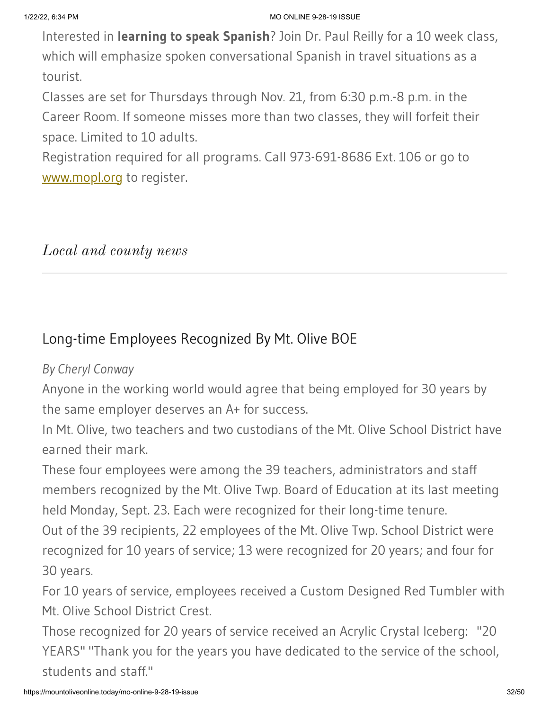Interested in **learning to speak Spanish**? Join Dr. Paul Reilly for a 10 week class, which will emphasize spoken conversational Spanish in travel situations as a tourist.

Classes are set for Thursdays through Nov. 21, from 6:30 p.m.-8 p.m. in the Career Room. If someone misses more than two classes, they will forfeit their space. Limited to 10 adults.

Registration required for all programs. Call 973-691-8686 Ext. 106 or go to [www.mopl.org](http://www.mopl.org/) to register.

### *Local and county news*

# Long-time Employees Recognized By Mt. Olive BOE

### *By Cheryl Conway*

Anyone in the working world would agree that being employed for 30 years by the same employer deserves an A+ for success.

In Mt. Olive, two teachers and two custodians of the Mt. Olive School District have earned their mark.

These four employees were among the 39 teachers, administrators and staff members recognized by the Mt. Olive Twp. Board of Education at its last meeting held Monday, Sept. 23. Each were recognized for their long-time tenure.

Out of the 39 recipients, 22 employees of the Mt. Olive Twp. School District were recognized for 10 years of service; 13 were recognized for 20 years; and four for 30 years.

For 10 years of service, employees received a Custom Designed Red Tumbler with Mt. Olive School District Crest.

Those recognized for 20 years of service received an Acrylic Crystal Iceberg: "20 YEARS" "Thank you for the years you have dedicated to the service of the school, students and staff."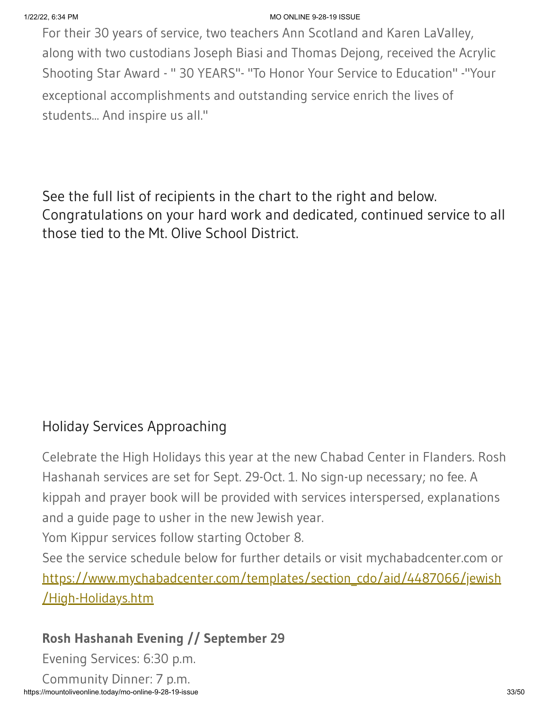For their 30 years of service, two teachers Ann Scotland and Karen LaValley, along with two custodians Joseph Biasi and Thomas Dejong, received the Acrylic Shooting Star Award - " 30 YEARS"- "To Honor Your Service to Education" -"Your exceptional accomplishments and outstanding service enrich the lives of students... And inspire us all."

See the full list of recipients in the chart to the right and below. Congratulations on your hard work and dedicated, continued service to all those tied to the Mt. Olive School District.

# Holiday Services Approaching

Celebrate the High Holidays this year at the new Chabad Center in Flanders. Rosh Hashanah services are set for Sept. 29-Oct. 1. No sign-up necessary; no fee. A kippah and prayer book will be provided with services interspersed, explanations and a guide page to usher in the new Jewish year.

Yom Kippur services follow starting October 8.

See the service schedule below for further details or visit mychabadcenter.com or [https://www.mychabadcenter.com/templates/section\\_cdo/aid/4487066/jewish](https://www.mychabadcenter.com/templates/section_cdo/aid/4487066/jewish/High-Holidays.htm) /High-Holidays.htm

### **Rosh Hashanah Evening // September 29**

Evening Services: 6:30 p.m.

https://mountoliveonline.today/mo-online-9-28-19-issue 33/50 Community Dinner: 7 p.m.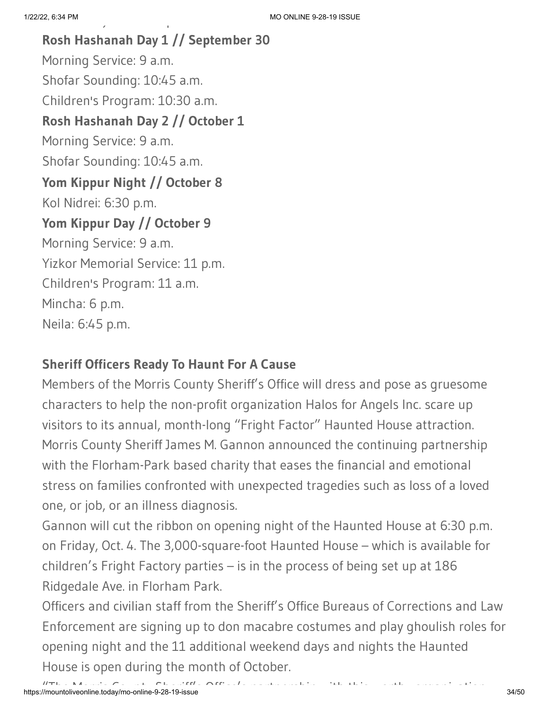**Rosh Hashanah Day 1 // September 30** Morning Service: 9 a.m. Shofar Sounding: 10:45 a.m. Children's Program: 10:30 a.m. **Rosh Hashanah Day 2 // October 1** Morning Service: 9 a.m. Shofar Sounding: 10:45 a.m. **Yom Kippur Night // October 8** Kol Nidrei: 6:30 p.m. **Yom Kippur Day // October 9** Morning Service: 9 a.m. Yizkor Memorial Service: 11 p.m. Children's Program: 11 a.m. Mincha: 6 p.m. Neila: 6:45 p.m.

y p

# **Sheriff Officers Ready To Haunt For A Cause**

Members of the Morris County Sheriff's Office will dress and pose as gruesome characters to help the non-profit organization Halos for Angels Inc. scare up visitors to its annual, month-long "Fright Factor" Haunted House attraction. Morris County Sheriff James M. Gannon announced the continuing partnership with the Florham-Park based charity that eases the financial and emotional stress on families confronted with unexpected tragedies such as loss of a loved one, or job, or an illness diagnosis.

Gannon will cut the ribbon on opening night of the Haunted House at 6:30 p.m. on Friday, Oct. 4. The 3,000-square-foot Haunted House – which is available for children's Fright Factory parties – is in the process of being set up at 186 Ridgedale Ave. in Florham Park.

Officers and civilian staff from the Sheriff's Office Bureaus of Corrections and Law Enforcement are signing up to don macabre costumes and play ghoulish roles for opening night and the 11 additional weekend days and nights the Haunted House is open during the month of October.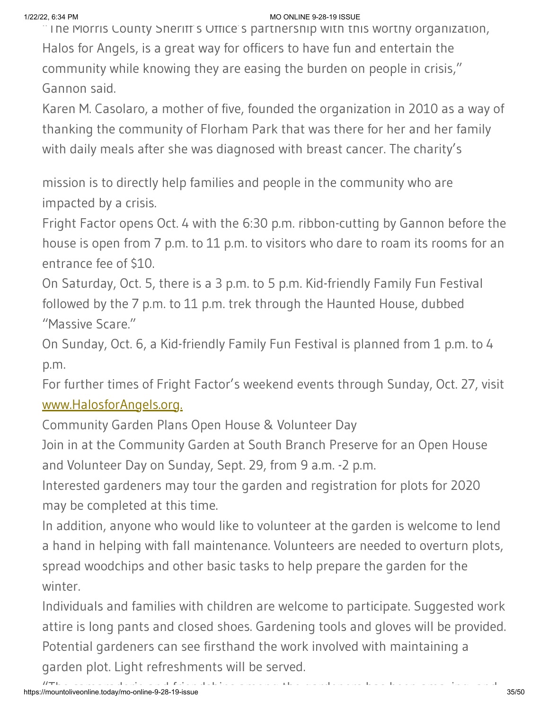$\degree$  The Morris County Sheriff's Office's partnership with this worthy organization, Halos for Angels, is a great way for officers to have fun and entertain the community while knowing they are easing the burden on people in crisis," Gannon said.

Karen M. Casolaro, a mother of five, founded the organization in 2010 as a way of thanking the community of Florham Park that was there for her and her family with daily meals after she was diagnosed with breast cancer. The charity's

mission is to directly help families and people in the community who are impacted by a crisis.

Fright Factor opens Oct. 4 with the 6:30 p.m. ribbon-cutting by Gannon before the house is open from 7 p.m. to 11 p.m. to visitors who dare to roam its rooms for an entrance fee of \$10.

On Saturday, Oct. 5, there is a 3 p.m. to 5 p.m. Kid-friendly Family Fun Festival followed by the 7 p.m. to 11 p.m. trek through the Haunted House, dubbed "Massive Scare."

On Sunday, Oct. 6, a Kid-friendly Family Fun Festival is planned from 1 p.m. to 4 p.m.

For further times of Fright Factor's weekend events through Sunday, Oct. 27, visit [www.HalosforAngels.org.](http://www.halosforangels.org./)

Community Garden Plans Open House & Volunteer Day

Join in at the Community Garden at South Branch Preserve for an Open House and Volunteer Day on Sunday, Sept. 29, from 9 a.m. -2 p.m.

Interested gardeners may tour the garden and registration for plots for 2020 may be completed at this time.

In addition, anyone who would like to volunteer at the garden is welcome to lend a hand in helping with fall maintenance. Volunteers are needed to overturn plots, spread woodchips and other basic tasks to help prepare the garden for the winter.

Individuals and families with children are welcome to participate. Suggested work attire is long pants and closed shoes. Gardening tools and gloves will be provided. Potential gardeners can see firsthand the work involved with maintaining a garden plot. Light refreshments will be served.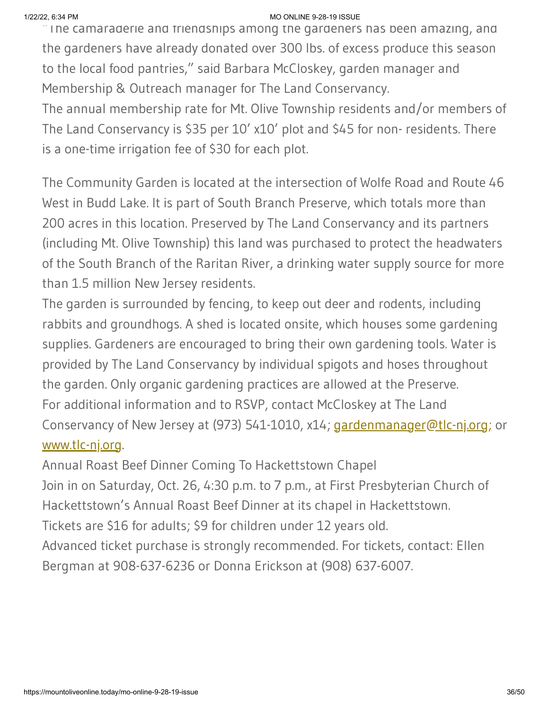$\blacksquare$  The camaraderie and friendships among the gardeners has been amazing, and the gardeners have already donated over 300 lbs. of excess produce this season to the local food pantries," said Barbara McCloskey, garden manager and Membership & Outreach manager for The Land Conservancy.

The annual membership rate for Mt. Olive Township residents and/or members of The Land Conservancy is \$35 per 10' x10' plot and \$45 for non- residents. There is a one-time irrigation fee of \$30 for each plot.

The Community Garden is located at the intersection of Wolfe Road and Route 46 West in Budd Lake. It is part of South Branch Preserve, which totals more than 200 acres in this location. Preserved by The Land Conservancy and its partners (including Mt. Olive Township) this land was purchased to protect the headwaters of the South Branch of the Raritan River, a drinking water supply source for more than 1.5 million New Jersey residents.

The garden is surrounded by fencing, to keep out deer and rodents, including rabbits and groundhogs. A shed is located onsite, which houses some gardening supplies. Gardeners are encouraged to bring their own gardening tools. Water is provided by The Land Conservancy by individual spigots and hoses throughout the garden. Only organic gardening practices are allowed at the Preserve. For additional information and to RSVP, contact McCloskey at The Land Conservancy of New Jersey at (973) 541-1010, x14; [gardenmanager@tlc-nj.org;](mailto:gardenmanager@tlc-nj.org) or [www.tlc-nj.org.](http://www.tlc-nj.org/)

Annual Roast Beef Dinner Coming To Hackettstown Chapel

Join in on Saturday, Oct. 26, 4:30 p.m. to 7 p.m., at First Presbyterian Church of Hackettstown's Annual Roast Beef Dinner at its chapel in Hackettstown.

Tickets are \$16 for adults; \$9 for children under 12 years old.

Advanced ticket purchase is strongly recommended. For tickets, contact: Ellen Bergman at 908-637-6236 or Donna Erickson at (908) 637-6007.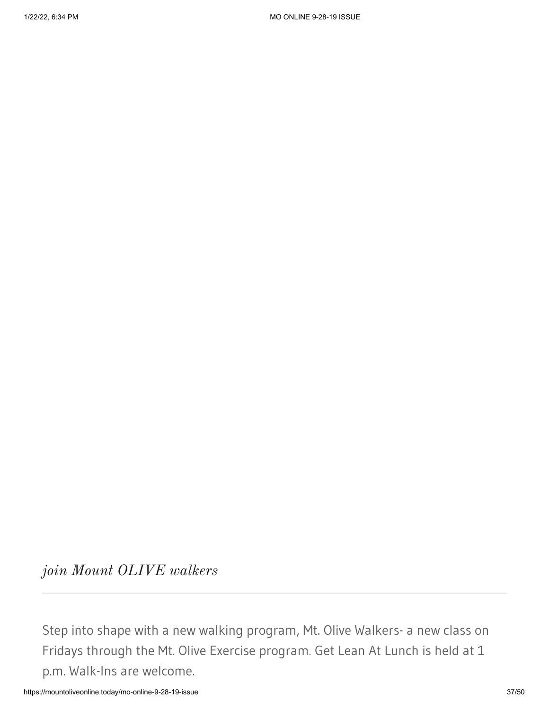*join Mount OLIVE walkers*

Step into shape with a new walking program, Mt. Olive Walkers- a new class on Fridays through the Mt. Olive Exercise program. Get Lean At Lunch is held at 1 p.m. Walk-Ins are welcome.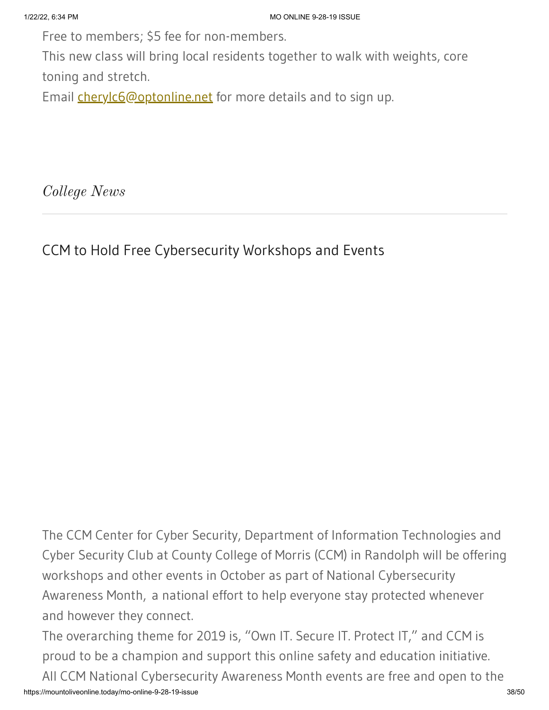Free to members; \$5 fee for non-members.

This new class will bring local residents together to walk with weights, core toning and stretch.

Email **[cherylc6@optonline.net](mailto:cherylc6@optonline.net)** for more details and to sign up.

*College News*

CCM to Hold Free Cybersecurity Workshops and Events

The CCM Center for Cyber Security, Department of Information Technologies and Cyber Security Club at County College of Morris (CCM) in Randolph will be offering workshops and other events in October as part of National Cybersecurity Awareness Month, a national effort to help everyone stay protected whenever and however they connect.

https://mountoliveonline.today/mo-online-9-28-19-issue 38/50 The overarching theme for 2019 is, "Own IT. Secure IT. Protect IT," and CCM is proud to be a champion and support this online safety and education initiative. All CCM National Cybersecurity Awareness Month events are free and open to the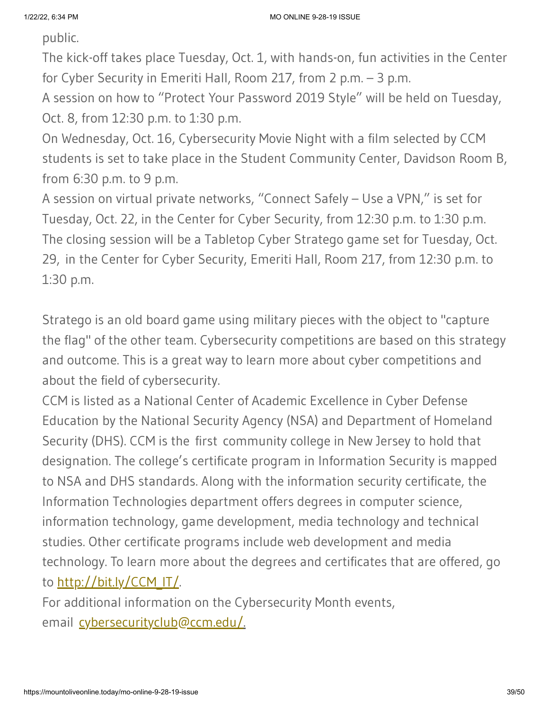public.

The kick-off takes place Tuesday, Oct. 1, with hands-on, fun activities in the Center for Cyber Security in Emeriti Hall, Room 217, from 2 p.m. – 3 p.m.

A session on how to "Protect Your Password 2019 Style" will be held on Tuesday, Oct. 8, from 12:30 p.m. to 1:30 p.m.

On Wednesday, Oct. 16, Cybersecurity Movie Night with a film selected by CCM students is set to take place in the Student Community Center, Davidson Room B, from 6:30 p.m. to 9 p.m.

A session on virtual private networks, "Connect Safely – Use a VPN," is set for Tuesday, Oct. 22, in the Center for Cyber Security, from 12:30 p.m. to 1:30 p.m. The closing session will be a Tabletop Cyber Stratego game set for Tuesday, Oct. 29, in the Center for Cyber Security, Emeriti Hall, Room 217, from 12:30 p.m. to 1:30 p.m.

Stratego is an old board game using military pieces with the object to "capture the flag" of the other team. Cybersecurity competitions are based on this strategy and outcome. This is a great way to learn more about cyber competitions and about the field of cybersecurity.

CCM is listed as a National Center of Academic Excellence in Cyber Defense Education by the National Security Agency (NSA) and Department of Homeland Security (DHS). CCM is the first community college in New Jersey to hold that designation. The college's certificate program in Information Security is mapped to NSA and DHS standards. Along with the information security certificate, the Information Technologies department offers degrees in computer science, information technology, game development, media technology and technical studies. Other certificate programs include web development and media technology. To learn more about the degrees and certificates that are offered, go to <u>http://bit.ly/CCM\_IT/</u>.

For additional information on the Cybersecurity Month events, email [cybersecurityclub@ccm.edu/](mailto:cybersecurityclub@ccm.edu/).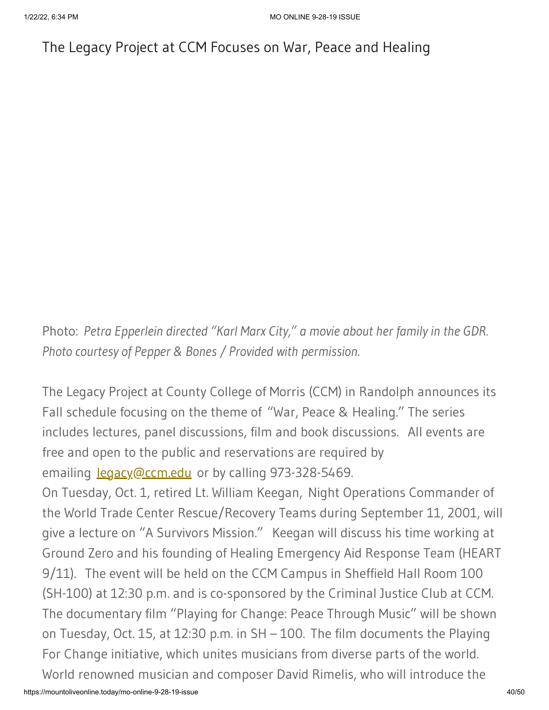# The Legacy Project at CCM Focuses on War, Peace and Healing

Photo: *Petra Epperlein directed "Karl Marx City," a movie about her family in the GDR. Photo courtesy of Pepper & Bones / Provided with permission.*

The Legacy Project at County College of Morris (CCM) in Randolph announces its Fall schedule focusing on the theme of "War, Peace & Healing." The series includes lectures, panel discussions, film and book discussions. All events are free and open to the public and reservations are required by emailing [legacy@ccm.edu](mailto:legacy@ccm.edu) or by calling 973-328-5469.

On Tuesday, Oct. 1, retired Lt. William Keegan, Night Operations Commander of the World Trade Center Rescue/Recovery Teams during September 11, 2001, will give a lecture on "A Survivors Mission." Keegan will discuss his time working at Ground Zero and his founding of Healing Emergency Aid Response Team (HEART 9/11). The event will be held on the CCM Campus in Sheffield Hall Room 100 (SH-100) at 12:30 p.m. and is co-sponsored by the Criminal Justice Club at CCM. The documentary film "Playing for Change: Peace Through Music" will be shown on Tuesday, Oct. 15, at 12:30 p.m. in SH – 100. The film documents the Playing For Change initiative, which unites musicians from diverse parts of the world. World renowned musician and composer David Rimelis, who will introduce the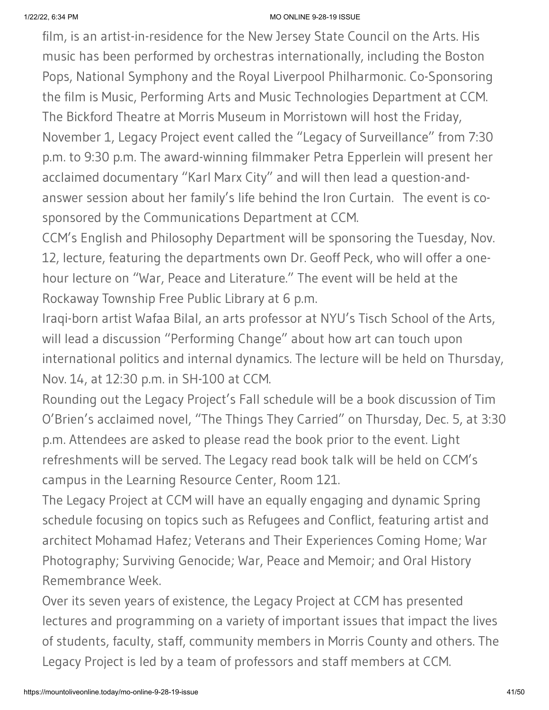film, is an artist-in-residence for the New Jersey State Council on the Arts. His music has been performed by orchestras internationally, including the Boston Pops, National Symphony and the Royal Liverpool Philharmonic. Co-Sponsoring the film is Music, Performing Arts and Music Technologies Department at CCM. The Bickford Theatre at Morris Museum in Morristown will host the Friday, November 1, Legacy Project event called the "Legacy of Surveillance" from 7:30 p.m. to 9:30 p.m. The award-winning filmmaker Petra Epperlein will present her acclaimed documentary "Karl Marx City" and will then lead a question-andanswer session about her family's life behind the Iron Curtain. The event is cosponsored by the Communications Department at CCM.

CCM's English and Philosophy Department will be sponsoring the Tuesday, Nov. 12, lecture, featuring the departments own Dr. Geoff Peck, who will offer a onehour lecture on "War, Peace and Literature." The event will be held at the Rockaway Township Free Public Library at 6 p.m.

Iraqi-born artist Wafaa Bilal, an arts professor at NYU's Tisch School of the Arts, will lead a discussion "Performing Change" about how art can touch upon international politics and internal dynamics. The lecture will be held on Thursday, Nov. 14, at 12:30 p.m. in SH-100 at CCM.

Rounding out the Legacy Project's Fall schedule will be a book discussion of Tim O'Brien's acclaimed novel, "The Things They Carried" on Thursday, Dec. 5, at 3:30 p.m. Attendees are asked to please read the book prior to the event. Light refreshments will be served. The Legacy read book talk will be held on CCM's campus in the Learning Resource Center, Room 121.

The Legacy Project at CCM will have an equally engaging and dynamic Spring schedule focusing on topics such as Refugees and Conflict, featuring artist and architect Mohamad Hafez; Veterans and Their Experiences Coming Home; War Photography; Surviving Genocide; War, Peace and Memoir; and Oral History Remembrance Week.

Over its seven years of existence, the Legacy Project at CCM has presented lectures and programming on a variety of important issues that impact the lives of students, faculty, staff, community members in Morris County and others. The Legacy Project is led by a team of professors and staff members at CCM.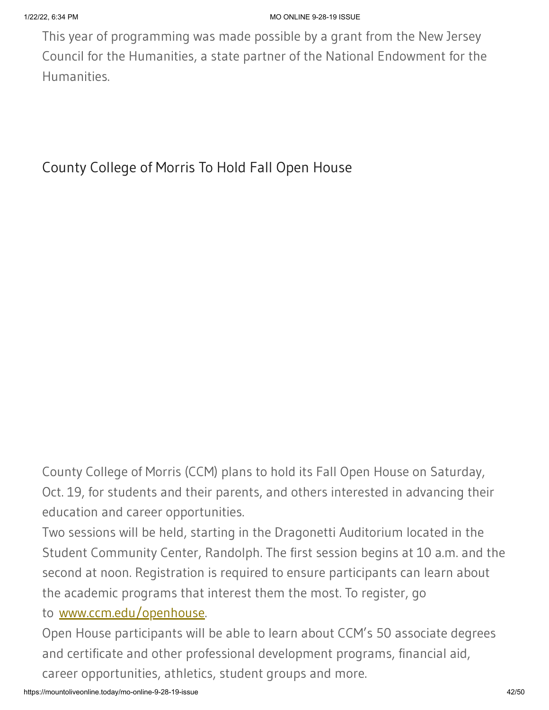This year of programming was made possible by a grant from the New Jersey Council for the Humanities, a state partner of the National Endowment for the Humanities.

County College of Morris To Hold Fall Open House

County College of Morris (CCM) plans to hold its Fall Open House on Saturday, Oct. 19, for students and their parents, and others interested in advancing their education and career opportunities.

Two sessions will be held, starting in the Dragonetti Auditorium located in the Student Community Center, Randolph. The first session begins at 10 a.m. and the second at noon. Registration is required to ensure participants can learn about the academic programs that interest them the most. To register, go

### to [www.ccm.edu/openhouse](https://www.ccm.edu/openhouse).

Open House participants will be able to learn about CCM's 50 associate degrees and certificate and other professional development programs, financial aid, career opportunities, athletics, student groups and more.

https://mountoliveonline.today/mo-online-9-28-19-issue 42/50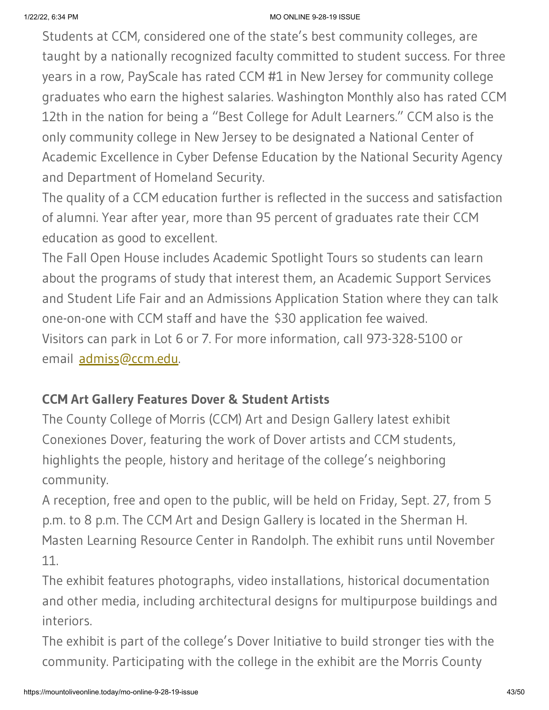Students at CCM, considered one of the state's best community colleges, are taught by a nationally recognized faculty committed to student success. For three years in a row, PayScale has rated CCM #1 in New Jersey for community college graduates who earn the highest salaries. Washington Monthly also has rated CCM 12th in the nation for being a "Best College for Adult Learners." CCM also is the only community college in New Jersey to be designated a National Center of Academic Excellence in Cyber Defense Education by the National Security Agency and Department of Homeland Security.

The quality of a CCM education further is reflected in the success and satisfaction of alumni. Year after year, more than 95 percent of graduates rate their CCM education as good to excellent.

The Fall Open House includes Academic Spotlight Tours so students can learn about the programs of study that interest them, an Academic Support Services and Student Life Fair and an Admissions Application Station where they can talk one-on-one with CCM staff and have the \$30 application fee waived. Visitors can park in Lot 6 or 7. For more information, call 973-328-5100 or email [admiss@ccm.edu.](mailto:admiss@ccm.edu)

### **CCM Art Gallery Features Dover & Student Artists**

The County College of Morris (CCM) Art and Design Gallery latest exhibit Conexiones Dover, featuring the work of Dover artists and CCM students, highlights the people, history and heritage of the college's neighboring community.

A reception, free and open to the public, will be held on Friday, Sept. 27, from 5 p.m. to 8 p.m. The CCM Art and Design Gallery is located in the Sherman H. Masten Learning Resource Center in Randolph. The exhibit runs until November 11.

The exhibit features photographs, video installations, historical documentation and other media, including architectural designs for multipurpose buildings and interiors.

The exhibit is part of the college's Dover Initiative to build stronger ties with the community. Participating with the college in the exhibit are the Morris County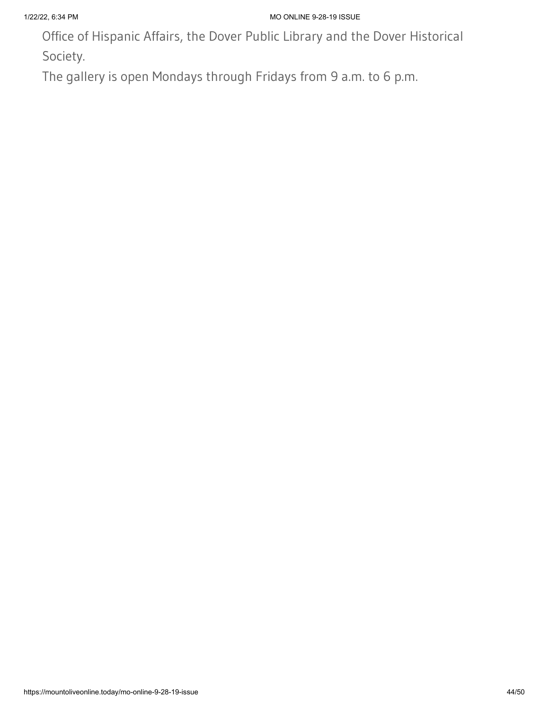Office of Hispanic Affairs, the Dover Public Library and the Dover Historical Society.

The gallery is open Mondays through Fridays from 9 a.m. to 6 p.m.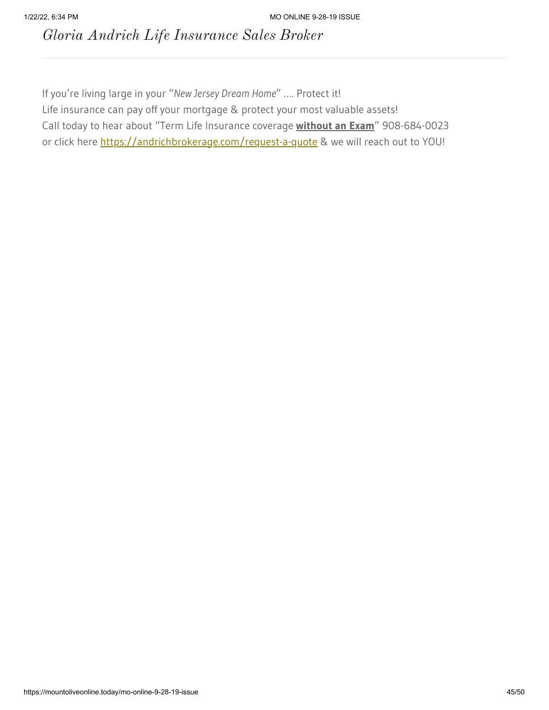*Gloria Andrich Life Insurance Sales Broker*

If you're living large in your "*New Jersey Dream Home*" …. Protect it! Life insurance can pay off your mortgage & protect your most valuable assets! Call today to hear about "Term Life Insurance coverage **without an Exam**" 908-684-0023 or click here [https://andrichbrokerage.com/request-a-quote](https://andrichbrokerage.com/request-a-quote?fbclid=IwAR0V44u63KxQNCV_RGKoXtsj1fhzXoVejqflqfq8rGoJPlhrLc3-t7PUhVQ) & we will reach out to YOU!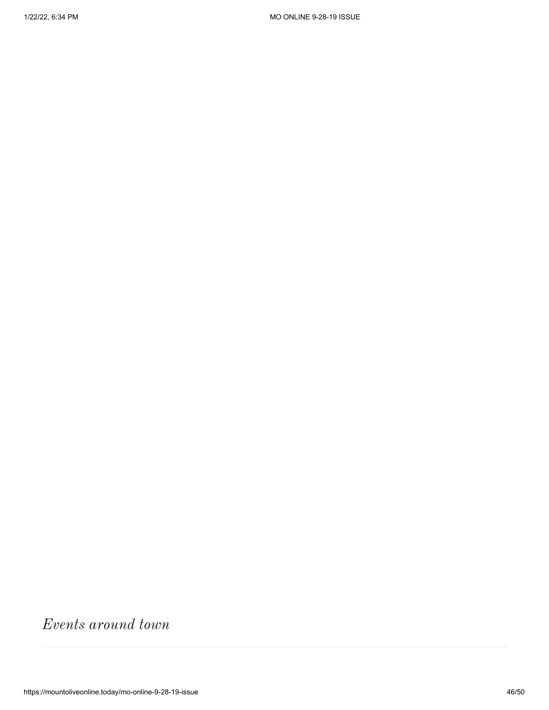*Events around town*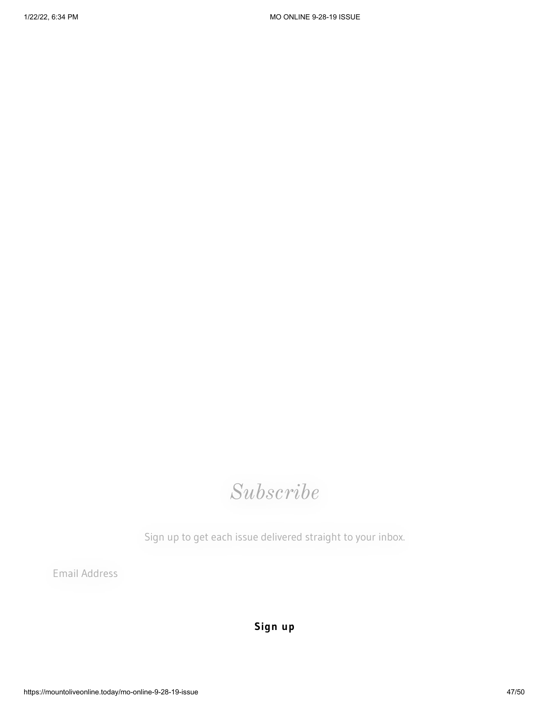# *Subscribe*

Sign up to get each issue delivered straight to your inbox.

Email Address

**Sign up**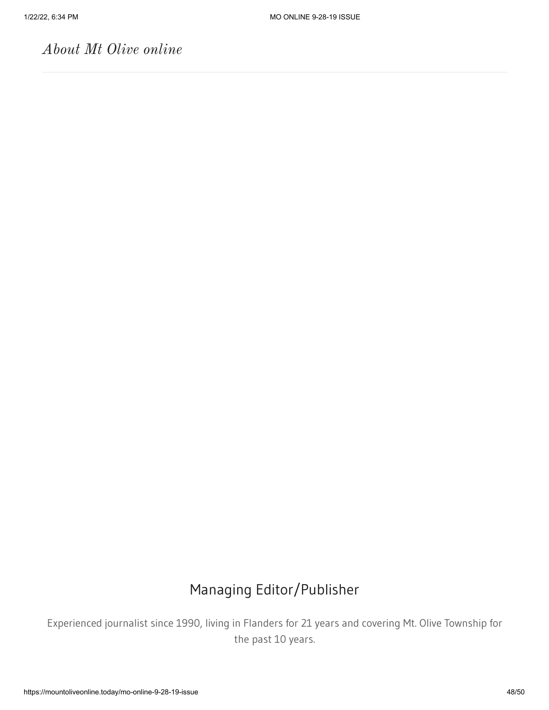# *About Mt Olive online*

# Managing Editor/Publisher

Experienced journalist since 1990, living in Flanders for 21 years and covering Mt. Olive Township for the past 10 years.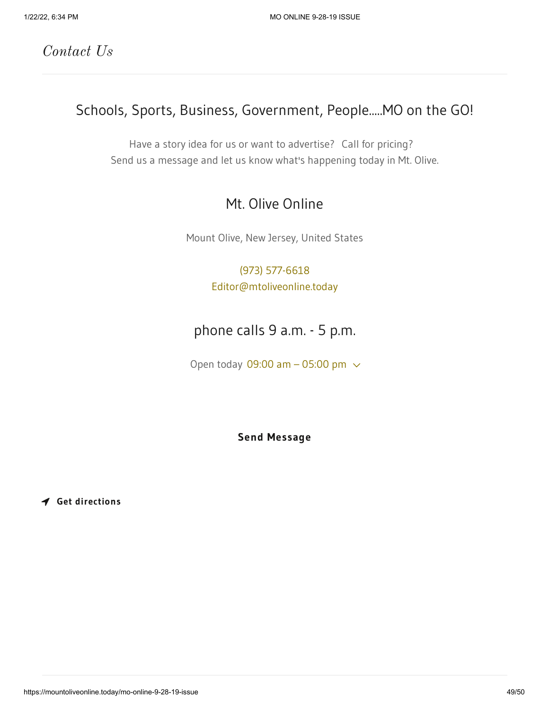*Contact Us*

# Schools, Sports, Business, Government, People.....MO on the GO!

Have a story idea for us or want to advertise? Call for pricing? Send us a message and let us know what's happening today in Mt. Olive.

### Mt. Olive Online

Mount Olive, New Jersey, United States

### [\(973\) 577-6618](tel:9735776618) [Editor@mtoliveonline.today](mailto:Editor@mtoliveonline.today)

# phone calls 9 a.m. - 5 p.m.

Open today 09:00 am  $-$  05:00 pm  $\sim$ 

**Send Message**

**Get directions**